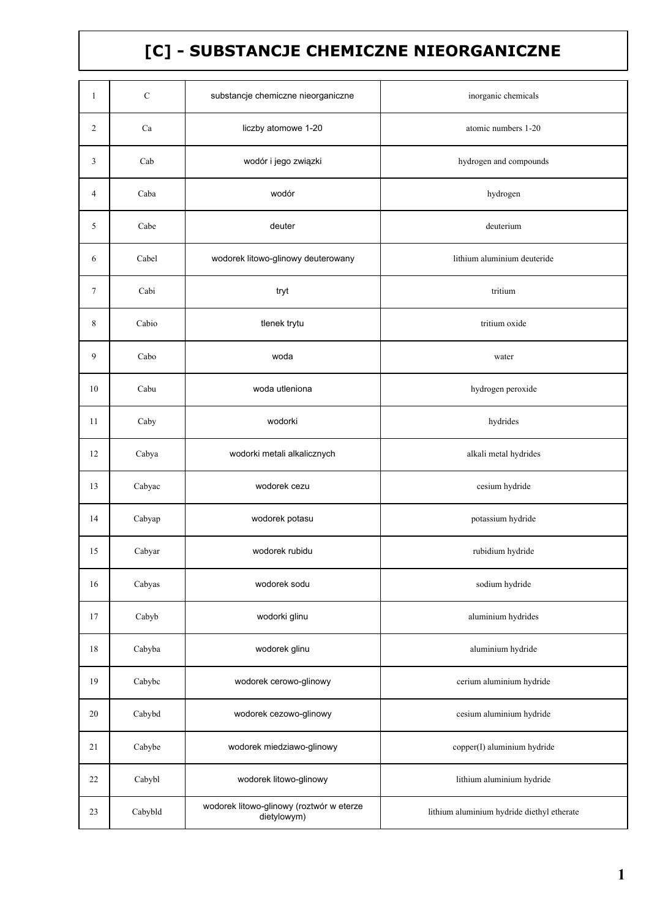## [C] - SUBSTANCJE CHEMICZNE NIEORGANICZNE

| $\mathbf{1}$ | $\mathbf C$ | substancje chemiczne nieorganiczne                      | inorganic chemicals                        |
|--------------|-------------|---------------------------------------------------------|--------------------------------------------|
| 2            | Ca          | liczby atomowe 1-20                                     | atomic numbers 1-20                        |
| 3            | Cab         | wodór i jego związki                                    | hydrogen and compounds                     |
| 4            | Caba        | wodór                                                   | hydrogen                                   |
| 5            | Cabe        | deuter                                                  | deuterium                                  |
| 6            | Cabel       | wodorek litowo-glinowy deuterowany                      | lithium aluminium deuteride                |
| 7            | Cabi        | tryt                                                    | tritium                                    |
| 8            | Cabio       | tlenek trytu                                            | tritium oxide                              |
| 9            | Cabo        | woda                                                    | water                                      |
| 10           | Cabu        | woda utleniona                                          | hydrogen peroxide                          |
| 11           | Caby        | wodorki                                                 | hydrides                                   |
| 12           | Cabya       | wodorki metali alkalicznych                             | alkali metal hydrides                      |
| 13           | Cabyac      | wodorek cezu                                            | cesium hydride                             |
| 14           | Cabyap      | wodorek potasu                                          | potassium hydride                          |
| 15           | Cabyar      | wodorek rubidu                                          | rubidium hydride                           |
| 16           | Cabyas      | wodorek sodu                                            | sodium hydride                             |
| 17           | Cabyb       | wodorki glinu                                           | aluminium hydrides                         |
| 18           | Cabyba      | wodorek glinu                                           | aluminium hydride                          |
| 19           | Cabybc      | wodorek cerowo-glinowy                                  | cerium aluminium hydride                   |
| 20           | Cabybd      | wodorek cezowo-glinowy                                  | cesium aluminium hydride                   |
| 21           | Cabybe      | wodorek miedziawo-glinowy                               | copper(I) aluminium hydride                |
| 22           | Cabybl      | wodorek litowo-glinowy                                  | lithium aluminium hydride                  |
| 23           | Cabybld     | wodorek litowo-glinowy (roztwór w eterze<br>dietylowym) | lithium aluminium hydride diethyl etherate |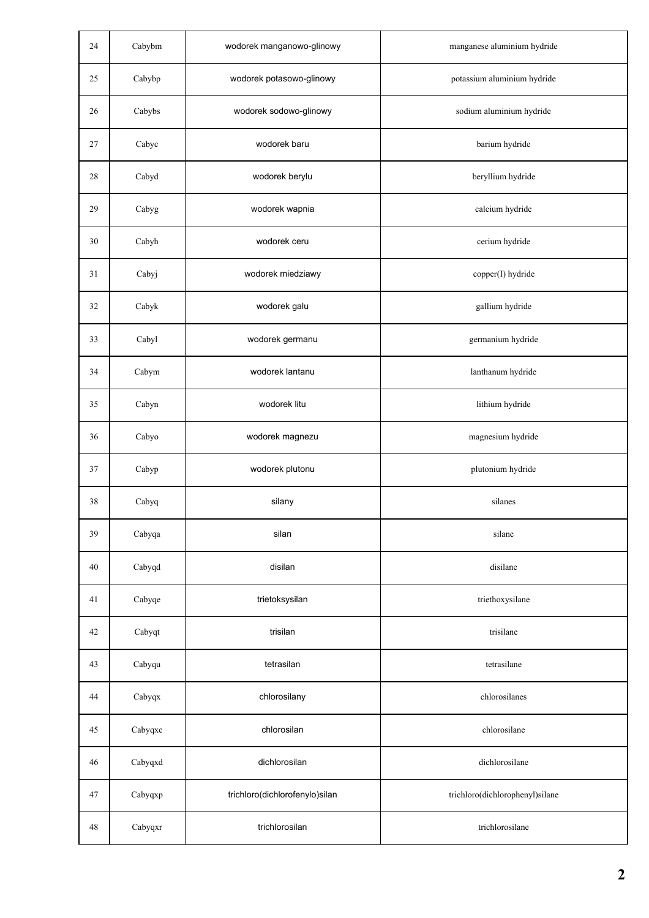| 24     | Cabybm  | wodorek manganowo-glinowy      | manganese aluminium hydride     |
|--------|---------|--------------------------------|---------------------------------|
| 25     | Cabybp  | wodorek potasowo-glinowy       | potassium aluminium hydride     |
| 26     | Cabybs  | wodorek sodowo-glinowy         | sodium aluminium hydride        |
| 27     | Cabyc   | wodorek baru                   | barium hydride                  |
| $28\,$ | Cabyd   | wodorek berylu                 | beryllium hydride               |
| 29     | Cabyg   | wodorek wapnia                 | calcium hydride                 |
| 30     | Cabyh   | wodorek ceru                   | cerium hydride                  |
| 31     | Cabyj   | wodorek miedziawy              | copper(I) hydride               |
| 32     | Cabyk   | wodorek galu                   | gallium hydride                 |
| 33     | Cabyl   | wodorek germanu                | germanium hydride               |
| 34     | Cabym   | wodorek lantanu                | lanthanum hydride               |
| 35     | Cabyn   | wodorek litu                   | lithium hydride                 |
| 36     | Cabyo   | wodorek magnezu                | magnesium hydride               |
| 37     | Cabyp   | wodorek plutonu                | plutonium hydride               |
| 38     | Cabyq   | silany                         | silanes                         |
| 39     | Cabyqa  | silan                          | silane                          |
| 40     | Cabyqd  | disilan                        | disilane                        |
| 41     | Cabyqe  | trietoksysilan                 | triethoxysilane                 |
| 42     | Cabyqt  | trisilan                       | trisilane                       |
| 43     | Cabyqu  | tetrasilan                     | tetrasilane                     |
| 44     | Cabyqx  | chlorosilany                   | chlorosilanes                   |
| 45     | Cabyqxc | chlorosilan                    | chlorosilane                    |
| 46     | Cabyqxd | dichlorosilan                  | dichlorosilane                  |
| 47     | Cabyqxp | trichloro(dichlorofenylo)silan | trichloro(dichlorophenyl)silane |
| 48     | Cabyqxr | trichlorosilan                 | trichlorosilane                 |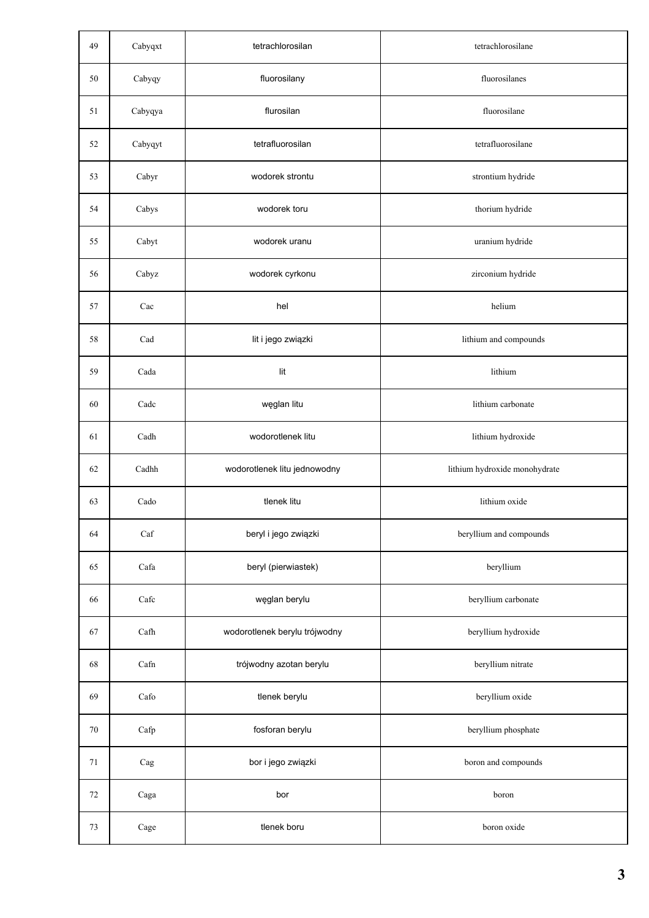| 49 | Cabyqxt               | tetrachlorosilan              | tetrachlorosilane             |
|----|-----------------------|-------------------------------|-------------------------------|
| 50 | Cabyqy                | fluorosilany                  | fluorosilanes                 |
| 51 | Cabyqya               | flurosilan                    | fluorosilane                  |
| 52 | Cabyqyt               | tetrafluorosilan              | tetrafluorosilane             |
| 53 | Cabyr                 | wodorek strontu               | strontium hydride             |
| 54 | Cabys                 | wodorek toru                  | thorium hydride               |
| 55 | Cabyt                 | wodorek uranu                 | uranium hydride               |
| 56 | Cabyz                 | wodorek cyrkonu               | zirconium hydride             |
| 57 | Cac                   | hel                           | helium                        |
| 58 | Cad                   | lit i jego związki            | lithium and compounds         |
| 59 | Cada                  | lit                           | lithium                       |
| 60 | Cadc                  | węglan litu                   | lithium carbonate             |
| 61 | Cadh                  | wodorotlenek litu             | lithium hydroxide             |
| 62 | Cadhh                 | wodorotlenek litu jednowodny  | lithium hydroxide monohydrate |
| 63 | $\operatorname{Cado}$ | tlenek litu                   | lithium oxide                 |
| 64 | Caf                   | beryl i jego związki          | beryllium and compounds       |
| 65 | Cafa                  | beryl (pierwiastek)           | beryllium                     |
| 66 | Cafe                  | węglan berylu                 | beryllium carbonate           |
| 67 | Cafh                  | wodorotlenek berylu trójwodny | beryllium hydroxide           |
| 68 | Cafn                  | trójwodny azotan berylu       | beryllium nitrate             |
| 69 | Cafo                  | tlenek berylu                 | beryllium oxide               |
| 70 | Cafp                  | fosforan berylu               | beryllium phosphate           |
| 71 | $\rm{Cag}$            | bor i jego związki            | boron and compounds           |
| 72 | $\rm{Caga}$           | bor                           | boron                         |
| 73 | $\rm{Cage}$           | tlenek boru                   | boron oxide                   |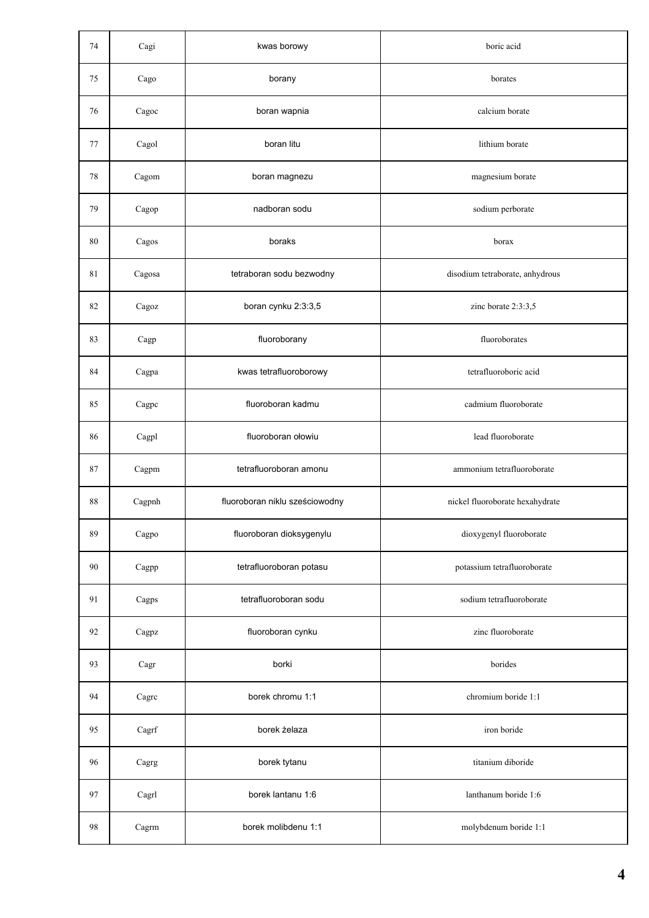| 74 | Cagi         | kwas borowy                    | boric acid                      |
|----|--------------|--------------------------------|---------------------------------|
| 75 | Cago         | borany                         | borates                         |
| 76 | $\rm Cagoc$  | boran wapnia                   | calcium borate                  |
| 77 | Cagol        | boran litu                     | lithium borate                  |
| 78 | $\rm Cagom$  | boran magnezu                  | magnesium borate                |
| 79 | Cagop        | nadboran sodu                  | sodium perborate                |
| 80 | Cagos        | boraks                         | borax                           |
| 81 | Cagosa       | tetraboran sodu bezwodny       | disodium tetraborate, anhydrous |
| 82 | $\rm{Cagoz}$ | boran cynku 2:3:3,5            | zinc borate 2:3:3,5             |
| 83 | Cagp         | fluoroborany                   | fluoroborates                   |
| 84 | Cagpa        | kwas tetrafluoroborowy         | tetrafluoroboric acid           |
| 85 | Cagpc        | fluoroboran kadmu              | cadmium fluoroborate            |
| 86 | Cagpl        | fluoroboran ołowiu             | lead fluoroborate               |
| 87 | Cagpm        | tetrafluoroboran amonu         | ammonium tetrafluoroborate      |
| 88 | Cagpnh       | fluoroboran niklu sześciowodny | nickel fluoroborate hexahydrate |
| 89 | Cagpo        | fluoroboran dioksygenylu       | dioxygenyl fluoroborate         |
| 90 | Cagpp        | tetrafluoroboran potasu        | potassium tetrafluoroborate     |
| 91 | Cagps        | tetrafluoroboran sodu          | sodium tetrafluoroborate        |
| 92 | Cagpz        | fluoroboran cynku              | zinc fluoroborate               |
| 93 | Cagr         | borki                          | borides                         |
| 94 | Cagre        | borek chromu 1:1               | chromium boride 1:1             |
| 95 | Cagrf        | borek żelaza                   | iron boride                     |
| 96 | Cagrg        | borek tytanu                   | titanium diboride               |
| 97 | Cagrl        | borek lantanu 1:6              | lanthanum boride 1:6            |
| 98 | Cagrm        | borek molibdenu 1:1            | molybdenum boride 1:1           |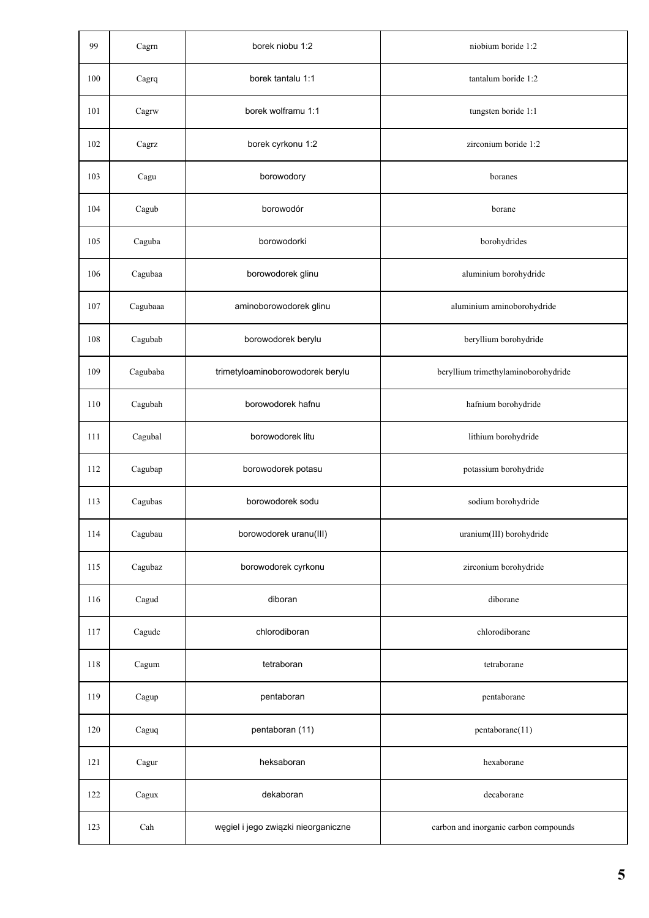| 99  | Cagrn    | borek niobu 1:2                     | niobium boride 1:2                    |
|-----|----------|-------------------------------------|---------------------------------------|
| 100 | Cagrq    | borek tantalu 1:1                   | tantalum boride 1:2                   |
| 101 | Cagrw    | borek wolframu 1:1                  | tungsten boride 1:1                   |
| 102 | Cagrz    | borek cyrkonu 1:2                   | zirconium boride 1:2                  |
| 103 | Cagu     | borowodory                          | boranes                               |
| 104 | Cagub    | borowodór                           | borane                                |
| 105 | Caguba   | borowodorki                         | borohydrides                          |
| 106 | Cagubaa  | borowodorek glinu                   | aluminium borohydride                 |
| 107 | Cagubaaa | aminoborowodorek glinu              | aluminium aminoborohydride            |
| 108 | Cagubab  | borowodorek berylu                  | beryllium borohydride                 |
| 109 | Cagubaba | trimetyloaminoborowodorek berylu    | beryllium trimethylaminoborohydride   |
| 110 | Cagubah  | borowodorek hafnu                   | hafnium borohydride                   |
| 111 | Cagubal  | borowodorek litu                    | lithium borohydride                   |
| 112 | Cagubap  | borowodorek potasu                  | potassium borohydride                 |
| 113 | Cagubas  | borowodorek sodu                    | sodium borohydride                    |
| 114 | Cagubau  | borowodorek uranu(III)              | uranium(III) borohydride              |
| 115 | Cagubaz  | borowodorek cyrkonu                 | zirconium borohydride                 |
| 116 | Cagud    | diboran                             | diborane                              |
| 117 | Cagudc   | chlorodiboran                       | chlorodiborane                        |
| 118 | Cagum    | tetraboran                          | tetraborane                           |
| 119 | Cagup    | pentaboran                          | pentaborane                           |
| 120 | Caguq    | pentaboran (11)                     | pentaborane(11)                       |
| 121 | Cagur    | heksaboran                          | hexaborane                            |
| 122 | Cagux    | dekaboran                           | decaborane                            |
| 123 | Cah      | węgiel i jego związki nieorganiczne | carbon and inorganic carbon compounds |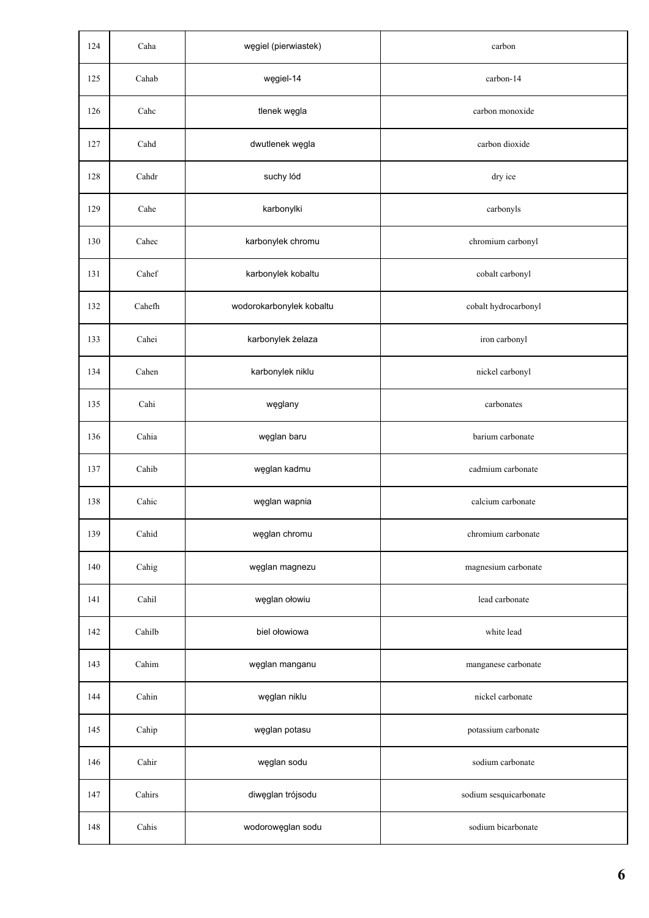| 124 | Caha   | węgiel (pierwiastek)     | carbon                 |
|-----|--------|--------------------------|------------------------|
| 125 | Cahab  | węgiel-14                | carbon-14              |
| 126 | Cahc   | tlenek węgla             | carbon monoxide        |
| 127 | Cahd   | dwutlenek węgla          | carbon dioxide         |
| 128 | Cahdr  | suchy lód                | dry ice                |
| 129 | Cahe   | karbonylki               | carbonyls              |
| 130 | Cahec  | karbonylek chromu        | chromium carbonyl      |
| 131 | Cahef  | karbonylek kobaltu       | cobalt carbonyl        |
| 132 | Cahefh | wodorokarbonylek kobaltu | cobalt hydrocarbonyl   |
| 133 | Cahei  | karbonylek żelaza        | iron carbonyl          |
| 134 | Cahen  | karbonylek niklu         | nickel carbonyl        |
| 135 | Cahi   | węglany                  | carbonates             |
| 136 | Cahia  | węglan baru              | barium carbonate       |
| 137 | Cahib  | węglan kadmu             | cadmium carbonate      |
| 138 | Cahic  | węglan wapnia            | calcium carbonate      |
| 139 | Cahid  | węglan chromu            | chromium carbonate     |
| 140 | Cahig  | węglan magnezu           | magnesium carbonate    |
| 141 | Cahil  | węglan ołowiu            | lead carbonate         |
| 142 | Cahilb | biel ołowiowa            | white lead             |
| 143 | Cahim  | węglan manganu           | manganese carbonate    |
| 144 | Cahin  | węglan niklu             | nickel carbonate       |
| 145 | Cahip  | węglan potasu            | potassium carbonate    |
| 146 | Cahir  | węglan sodu              | sodium carbonate       |
| 147 | Cahirs | diwęglan trójsodu        | sodium sesquicarbonate |
| 148 | Cahis  | wodorowęglan sodu        | sodium bicarbonate     |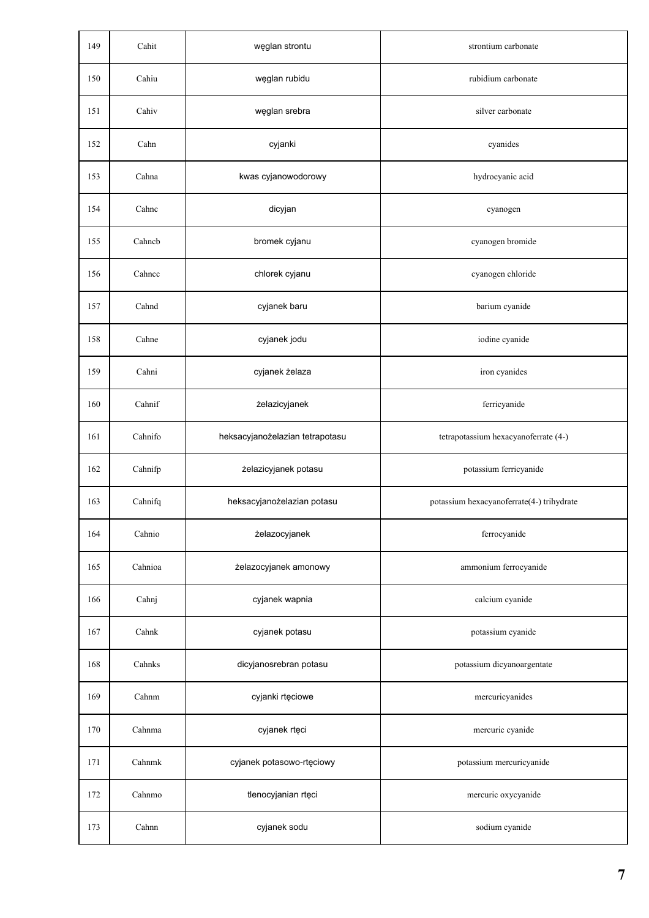| 149 | Cahit   | węglan strontu                  | strontium carbonate                       |
|-----|---------|---------------------------------|-------------------------------------------|
| 150 | Cahiu   | węglan rubidu                   | rubidium carbonate                        |
| 151 | Cahiv   | węglan srebra                   | silver carbonate                          |
| 152 | Cahn    | cyjanki                         | cyanides                                  |
| 153 | Cahna   | kwas cyjanowodorowy             | hydrocyanic acid                          |
| 154 | Cahnc   | dicyjan                         | cyanogen                                  |
| 155 | Cahncb  | bromek cyjanu                   | cyanogen bromide                          |
| 156 | Cahnce  | chlorek cyjanu                  | cyanogen chloride                         |
| 157 | Cahnd   | cyjanek baru                    | barium cyanide                            |
| 158 | Cahne   | cyjanek jodu                    | iodine cyanide                            |
| 159 | Cahni   | cyjanek żelaza                  | iron cyanides                             |
| 160 | Cahnif  | żelazicyjanek                   | ferricyanide                              |
| 161 | Cahnifo | heksacyjanożelazian tetrapotasu | tetrapotassium hexacyanoferrate (4-)      |
| 162 | Cahnifp | żelazicyjanek potasu            | potassium ferricyanide                    |
| 163 | Cahnifq | heksacyjanożelazian potasu      | potassium hexacyanoferrate(4-) trihydrate |
| 164 | Cahnio  | żelazocyjanek                   | ferrocyanide                              |
| 165 | Cahnioa | żelazocyjanek amonowy           | ammonium ferrocyanide                     |
| 166 | Cahnj   | cyjanek wapnia                  | calcium cyanide                           |
| 167 | Cahnk   | cyjanek potasu                  | potassium cyanide                         |
| 168 | Cahnks  | dicyjanosrebran potasu          | potassium dicyanoargentate                |
| 169 | Cahnm   | cyjanki rtęciowe                | mercuricyanides                           |
| 170 | Cahnma  | cyjanek rtęci                   | mercuric cyanide                          |
| 171 | Cahnmk  | cyjanek potasowo-rtęciowy       | potassium mercuricyanide                  |
| 172 | Cahnmo  | tlenocyjanian rtęci             | mercuric oxycyanide                       |
| 173 | Cahnn   | cyjanek sodu                    | sodium cyanide                            |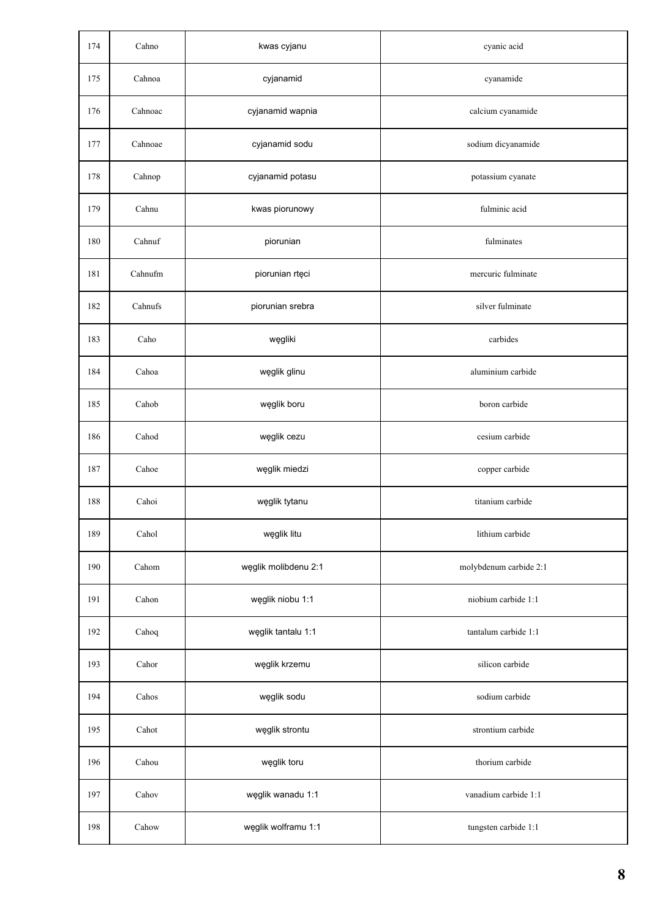| 174 | Cahno   | kwas cyjanu          | cyanic acid            |
|-----|---------|----------------------|------------------------|
| 175 | Cahnoa  | cyjanamid            | cyanamide              |
| 176 | Cahnoac | cyjanamid wapnia     | calcium cyanamide      |
| 177 | Cahnoae | cyjanamid sodu       | sodium dicyanamide     |
| 178 | Cahnop  | cyjanamid potasu     | potassium cyanate      |
| 179 | Cahnu   | kwas piorunowy       | fulminic acid          |
| 180 | Cahnuf  | piorunian            | fulminates             |
| 181 | Cahnufm | piorunian rtęci      | mercuric fulminate     |
| 182 | Cahnufs | piorunian srebra     | silver fulminate       |
| 183 | Caho    | węgliki              | carbides               |
| 184 | Cahoa   | węglik glinu         | aluminium carbide      |
| 185 | Cahob   | węglik boru          | boron carbide          |
| 186 | Cahod   | węglik cezu          | cesium carbide         |
| 187 | Cahoe   | węglik miedzi        | copper carbide         |
| 188 | Cahoi   | węglik tytanu        | titanium carbide       |
| 189 | Cahol   | węglik litu          | lithium carbide        |
| 190 | Cahom   | węglik molibdenu 2:1 | molybdenum carbide 2:1 |
| 191 | Cahon   | węglik niobu 1:1     | niobium carbide 1:1    |
| 192 | Cahoq   | węglik tantalu 1:1   | tantalum carbide 1:1   |
| 193 | Cahor   | węglik krzemu        | silicon carbide        |
| 194 | Cahos   | węglik sodu          | sodium carbide         |
| 195 | Cahot   | węglik strontu       | strontium carbide      |
| 196 | Cahou   | węglik toru          | thorium carbide        |
| 197 | Cahov   | węglik wanadu 1:1    | vanadium carbide 1:1   |
| 198 | Cahow   | węglik wolframu 1:1  | tungsten carbide 1:1   |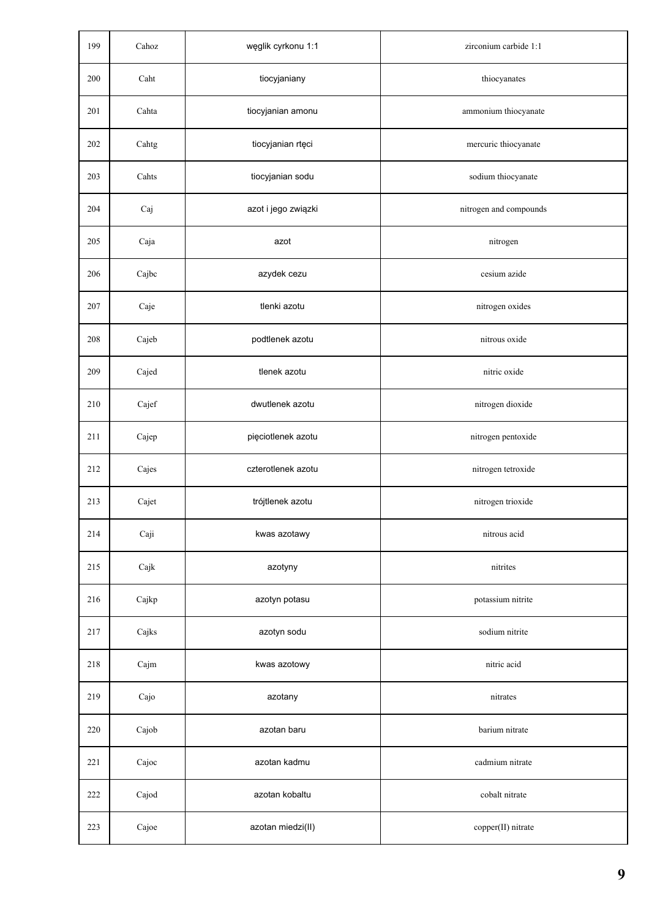| 199 | Cahoz | węglik cyrkonu 1:1  | zirconium carbide 1:1  |
|-----|-------|---------------------|------------------------|
| 200 | Caht  | tiocyjaniany        | thiocyanates           |
| 201 | Cahta | tiocyjanian amonu   | ammonium thiocyanate   |
| 202 | Cahtg | tiocyjanian rtęci   | mercuric thiocyanate   |
| 203 | Cahts | tiocyjanian sodu    | sodium thiocyanate     |
| 204 | Caj   | azot i jego związki | nitrogen and compounds |
| 205 | Caja  | azot                | nitrogen               |
| 206 | Cajbc | azydek cezu         | cesium azide           |
| 207 | Caje  | tlenki azotu        | nitrogen oxides        |
| 208 | Cajeb | podtlenek azotu     | nitrous oxide          |
| 209 | Cajed | tlenek azotu        | nitric oxide           |
| 210 | Cajef | dwutlenek azotu     | nitrogen dioxide       |
| 211 | Cajep | pięciotlenek azotu  | nitrogen pentoxide     |
| 212 | Cajes | czterotlenek azotu  | nitrogen tetroxide     |
| 213 | Cajet | trójtlenek azotu    | nitrogen trioxide      |
| 214 | Caji  | kwas azotawy        | nitrous acid           |
| 215 | Cajk  | azotyny             | nitrites               |
| 216 | Cajkp | azotyn potasu       | potassium nitrite      |
| 217 | Cajks | azotyn sodu         | sodium nitrite         |
| 218 | Cajm  | kwas azotowy        | nitric acid            |
| 219 | Cajo  | azotany             | nitrates               |
| 220 | Cajob | azotan baru         | barium nitrate         |
| 221 | Cajoc | azotan kadmu        | cadmium nitrate        |
| 222 | Cajod | azotan kobaltu      | cobalt nitrate         |
| 223 | Cajoe | azotan miedzi(II)   | copper(II) nitrate     |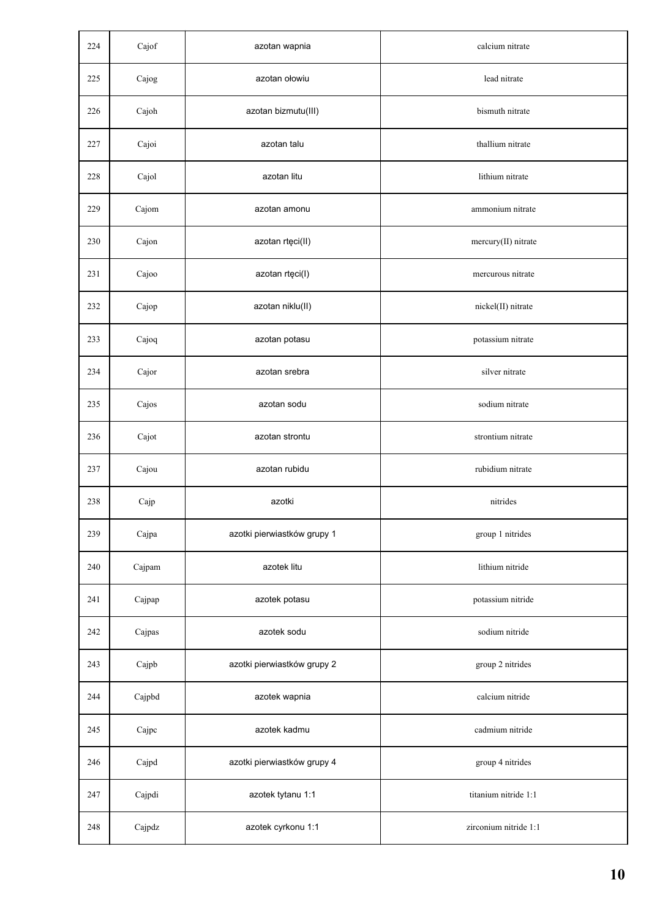| 224 | Cajof  | azotan wapnia               | calcium nitrate       |
|-----|--------|-----------------------------|-----------------------|
| 225 | Cajog  | azotan ołowiu               | lead nitrate          |
| 226 | Cajoh  | azotan bizmutu(III)         | bismuth nitrate       |
| 227 | Cajoi  | azotan talu                 | thallium nitrate      |
| 228 | Cajol  | azotan litu                 | lithium nitrate       |
| 229 | Cajom  | azotan amonu                | ammonium nitrate      |
| 230 | Cajon  | azotan rtęci(II)            | mercury(II) nitrate   |
| 231 | Cajoo  | azotan rtęci(I)             | mercurous nitrate     |
| 232 | Cajop  | azotan niklu(II)            | nickel(II) nitrate    |
| 233 | Cajoq  | azotan potasu               | potassium nitrate     |
| 234 | Cajor  | azotan srebra               | silver nitrate        |
| 235 | Cajos  | azotan sodu                 | sodium nitrate        |
| 236 | Cajot  | azotan strontu              | strontium nitrate     |
| 237 | Cajou  | azotan rubidu               | rubidium nitrate      |
| 238 | Cajp   | azotki                      | nitrides              |
| 239 | Cajpa  | azotki pierwiastków grupy 1 | group 1 nitrides      |
| 240 | Cajpam | azotek litu                 | lithium nitride       |
| 241 | Cajpap | azotek potasu               | potassium nitride     |
| 242 | Cajpas | azotek sodu                 | sodium nitride        |
| 243 | Cajpb  | azotki pierwiastków grupy 2 | group 2 nitrides      |
| 244 | Cajpbd | azotek wapnia               | calcium nitride       |
| 245 | Cajpc  | azotek kadmu                | cadmium nitride       |
| 246 | Cajpd  | azotki pierwiastków grupy 4 | group 4 nitrides      |
| 247 | Cajpdi | azotek tytanu 1:1           | titanium nitride 1:1  |
| 248 | Cajpdz | azotek cyrkonu 1:1          | zirconium nitride 1:1 |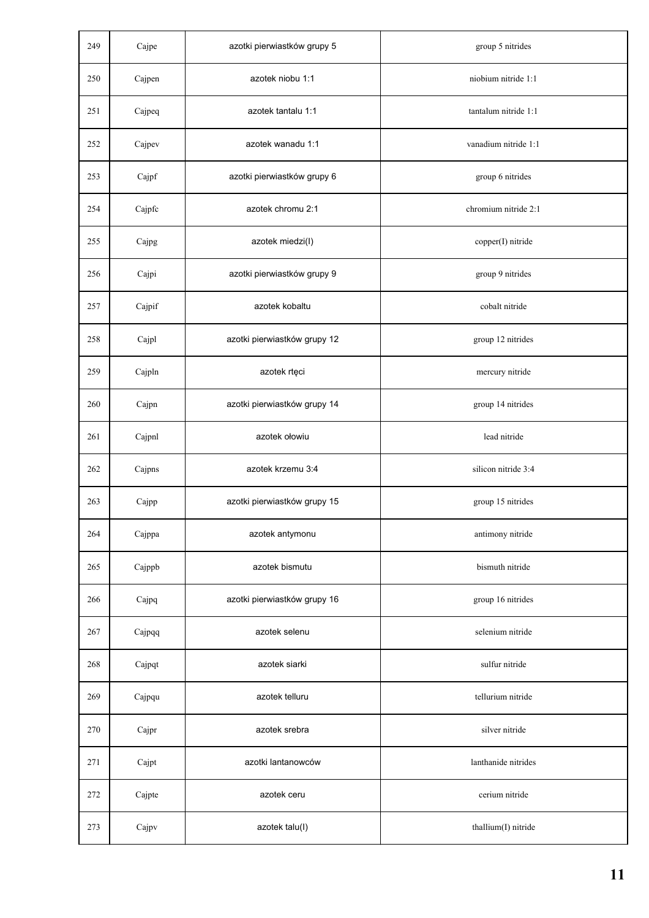| 249 | Cajpe  | azotki pierwiastków grupy 5  | group 5 nitrides     |
|-----|--------|------------------------------|----------------------|
| 250 | Cajpen | azotek niobu 1:1             | niobium nitride 1:1  |
| 251 | Cajpeq | azotek tantalu 1:1           | tantalum nitride 1:1 |
| 252 | Cajpev | azotek wanadu 1:1            | vanadium nitride 1:1 |
| 253 | Cajpf  | azotki pierwiastków grupy 6  | group 6 nitrides     |
| 254 | Cajpfc | azotek chromu 2:1            | chromium nitride 2:1 |
| 255 | Cajpg  | azotek miedzi(I)             | copper(I) nitride    |
| 256 | Cajpi  | azotki pierwiastków grupy 9  | group 9 nitrides     |
| 257 | Cajpif | azotek kobaltu               | cobalt nitride       |
| 258 | Cajpl  | azotki pierwiastków grupy 12 | group 12 nitrides    |
| 259 | Cajpln | azotek rtęci                 | mercury nitride      |
| 260 | Cajpn  | azotki pierwiastków grupy 14 | group 14 nitrides    |
| 261 | Cajpnl | azotek ołowiu                | lead nitride         |
| 262 | Cajpns | azotek krzemu 3:4            | silicon nitride 3:4  |
| 263 | Cajpp  | azotki pierwiastków grupy 15 | group 15 nitrides    |
| 264 | Cajppa | azotek antymonu              | antimony nitride     |
| 265 | Cajppb | azotek bismutu               | bismuth nitride      |
| 266 | Cajpq  | azotki pierwiastków grupy 16 | group 16 nitrides    |
| 267 | Cajpqq | azotek selenu                | selenium nitride     |
| 268 | Cajpqt | azotek siarki                | sulfur nitride       |
| 269 | Cajpqu | azotek telluru               | tellurium nitride    |
| 270 | Cajpr  | azotek srebra                | silver nitride       |
| 271 | Cajpt  | azotki lantanowców           | lanthanide nitrides  |
| 272 | Cajpte | azotek ceru                  | cerium nitride       |
| 273 | Cajpv  | azotek talu(I)               | thallium(I) nitride  |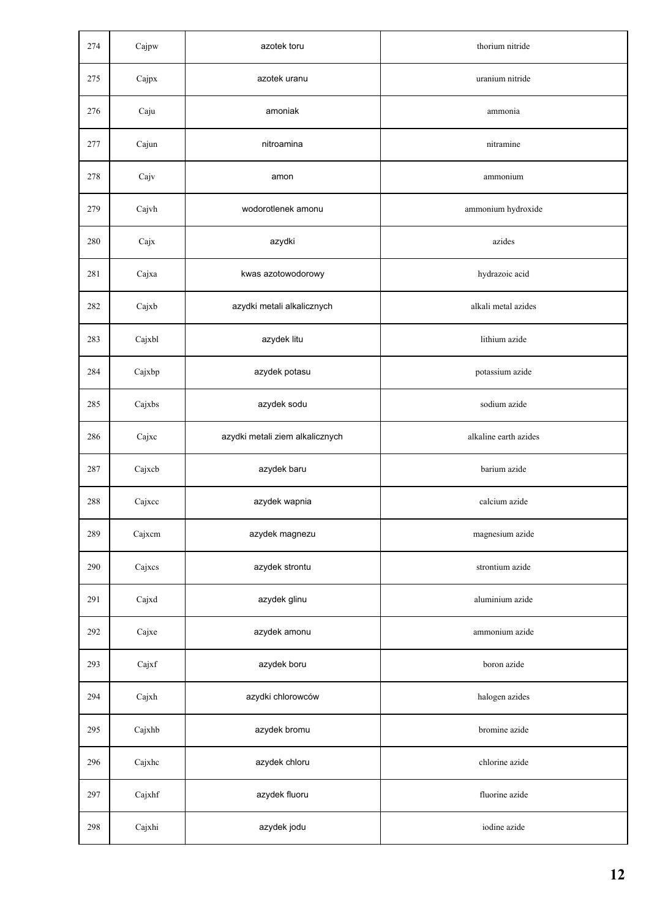| 274 | Cajpw  | azotek toru                     | thorium nitride       |
|-----|--------|---------------------------------|-----------------------|
| 275 | Cajpx  | azotek uranu                    | uranium nitride       |
| 276 | Caju   | amoniak                         | ammonia               |
| 277 | Cajun  | nitroamina                      | nitramine             |
| 278 | Cajv   | amon                            | ammonium              |
| 279 | Cajvh  | wodorotlenek amonu              | ammonium hydroxide    |
| 280 | Cajx   | azydki                          | azides                |
| 281 | Cajxa  | kwas azotowodorowy              | hydrazoic acid        |
| 282 | Cajxb  | azydki metali alkalicznych      | alkali metal azides   |
| 283 | Cajxbl | azydek litu                     | lithium azide         |
| 284 | Cajxbp | azydek potasu                   | potassium azide       |
| 285 | Cajxbs | azydek sodu                     | sodium azide          |
| 286 | Cajxc  | azydki metali ziem alkalicznych | alkaline earth azides |
| 287 | Cajxcb | azydek baru                     | barium azide          |
| 288 | Cajxcc | azydek wapnia                   | calcium azide         |
| 289 | Cajxcm | azydek magnezu                  | magnesium azide       |
| 290 | Cajxcs | azydek strontu                  | strontium azide       |
| 291 | Cajxd  | azydek glinu                    | aluminium azide       |
| 292 | Cajxe  | azydek amonu                    | ammonium azide        |
| 293 | Cajxf  | azydek boru                     | boron azide           |
| 294 | Cajxh  | azydki chlorowców               | halogen azides        |
| 295 | Cajxhb | azydek bromu                    | bromine azide         |
| 296 | Cajxhc | azydek chloru                   | chlorine azide        |
| 297 | Cajxhf | azydek fluoru                   | fluorine azide        |
| 298 | Cajxhi | azydek jodu                     | iodine azide          |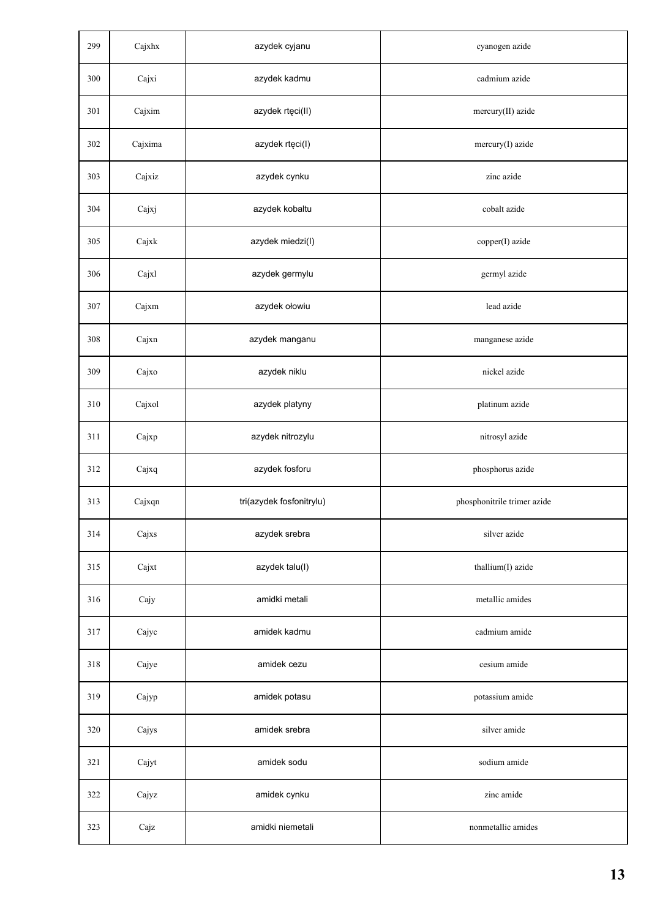| 299 | Cajxhx  | azydek cyjanu            | cyanogen azide              |
|-----|---------|--------------------------|-----------------------------|
| 300 | Cajxi   | azydek kadmu             | cadmium azide               |
| 301 | Cajxim  | azydek rtęci(II)         | mercury(II) azide           |
| 302 | Cajxima | azydek rtęci(I)          | mercury(I) azide            |
| 303 | Cajxiz  | azydek cynku             | zinc azide                  |
| 304 | Cajxj   | azydek kobaltu           | cobalt azide                |
| 305 | Cajxk   | azydek miedzi(I)         | copper(I) azide             |
| 306 | Cajxl   | azydek germylu           | germyl azide                |
| 307 | Cajxm   | azydek ołowiu            | lead azide                  |
| 308 | Cajxn   | azydek manganu           | manganese azide             |
| 309 | Cajxo   | azydek niklu             | nickel azide                |
| 310 | Cajxol  | azydek platyny           | platinum azide              |
| 311 | Cajxp   | azydek nitrozylu         | nitrosyl azide              |
| 312 | Cajxq   | azydek fosforu           | phosphorus azide            |
| 313 | Cajxqn  | tri(azydek fosfonitrylu) | phosphonitrile trimer azide |
| 314 | Cajxs   | azydek srebra            | silver azide                |
| 315 | Cajxt   | azydek talu(I)           | thallium(I) azide           |
| 316 | Cajy    | amidki metali            | metallic amides             |
| 317 | Cajyc   | amidek kadmu             | cadmium amide               |
| 318 | Cajye   | amidek cezu              | cesium amide                |
| 319 | Cajyp   | amidek potasu            | potassium amide             |
| 320 | Cajys   | amidek srebra            | silver amide                |
| 321 | Cajyt   | amidek sodu              | sodium amide                |
| 322 | Cajyz   | amidek cynku             | zinc amide                  |
| 323 | Cajz    | amidki niemetali         | nonmetallic amides          |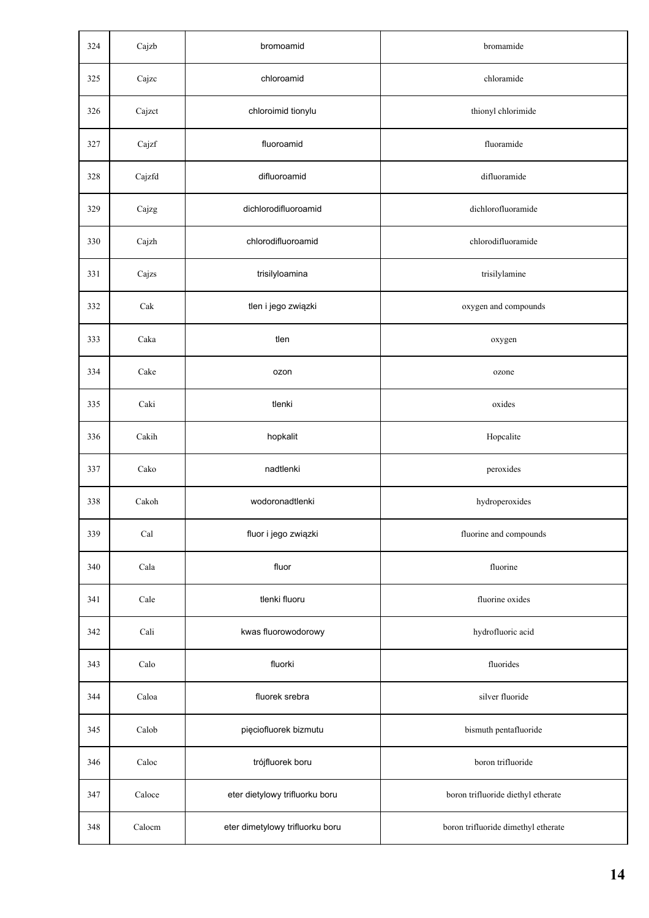| 324 | Cajzb  | bromoamid                       | bromamide                           |
|-----|--------|---------------------------------|-------------------------------------|
| 325 | Cajzc  | chloroamid                      | chloramide                          |
| 326 | Cajzct | chloroimid tionylu              | thionyl chlorimide                  |
| 327 | Cajzf  | fluoroamid                      | fluoramide                          |
| 328 | Cajzfd | difluoroamid                    | difluoramide                        |
| 329 | Cajzg  | dichlorodifluoroamid            | dichlorofluoramide                  |
| 330 | Cajzh  | chlorodifluoroamid              | chlorodifluoramide                  |
| 331 | Cajzs  | trisilyloamina                  | trisilylamine                       |
| 332 | Cak    | tlen i jego związki             | oxygen and compounds                |
| 333 | Caka   | tlen                            | oxygen                              |
| 334 | Cake   | ozon                            | ozone                               |
| 335 | Caki   | tlenki                          | oxides                              |
| 336 | Cakih  | hopkalit                        | Hopcalite                           |
| 337 | Cako   | nadtlenki                       | peroxides                           |
| 338 | Cakoh  | wodoronadtlenki                 | hydroperoxides                      |
| 339 | Cal    | fluor i jego związki            | fluorine and compounds              |
| 340 | Cala   | fluor                           | fluorine                            |
| 341 | Cale   | tlenki fluoru                   | fluorine oxides                     |
| 342 | Cali   | kwas fluorowodorowy             | hydrofluoric acid                   |
| 343 | Calo   | fluorki                         | fluorides                           |
| 344 | Caloa  | fluorek srebra                  | silver fluoride                     |
| 345 | Calob  | pięciofluorek bizmutu           | bismuth pentafluoride               |
| 346 | Caloc  | trójfluorek boru                | boron trifluoride                   |
| 347 | Caloce | eter dietylowy trifluorku boru  | boron trifluoride diethyl etherate  |
| 348 | Calocm | eter dimetylowy trifluorku boru | boron trifluoride dimethyl etherate |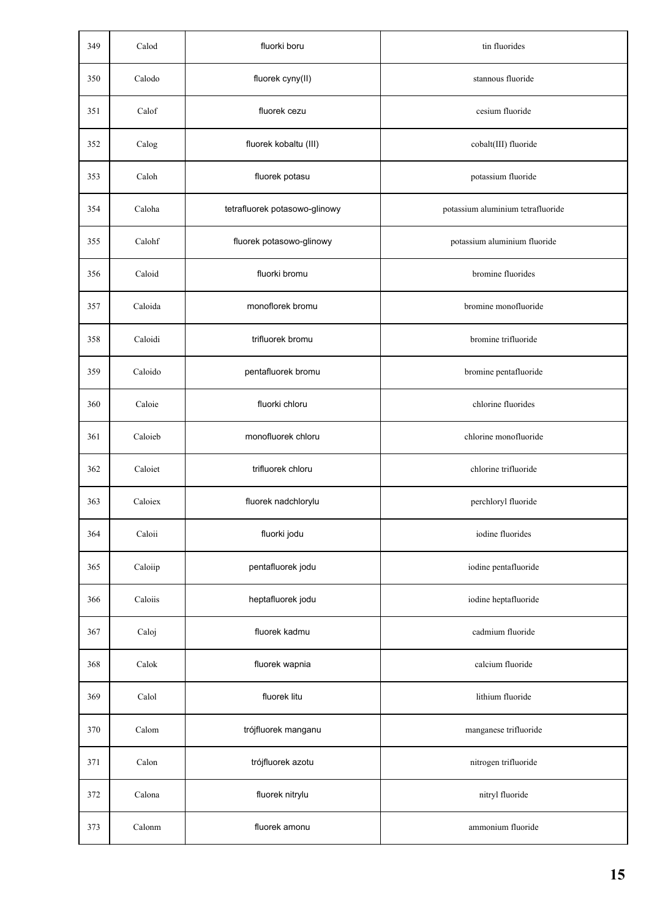| 349 | Calod   | fluorki boru                  | tin fluorides                     |
|-----|---------|-------------------------------|-----------------------------------|
| 350 | Calodo  | fluorek cyny(II)              | stannous fluoride                 |
| 351 | Calof   | fluorek cezu                  | cesium fluoride                   |
| 352 | Calog   | fluorek kobaltu (III)         | cobalt(III) fluoride              |
| 353 | Caloh   | fluorek potasu                | potassium fluoride                |
| 354 | Caloha  | tetrafluorek potasowo-glinowy | potassium aluminium tetrafluoride |
| 355 | Calohf  | fluorek potasowo-glinowy      | potassium aluminium fluoride      |
| 356 | Caloid  | fluorki bromu                 | bromine fluorides                 |
| 357 | Caloida | monoflorek bromu              | bromine monofluoride              |
| 358 | Caloidi | trifluorek bromu              | bromine trifluoride               |
| 359 | Caloido | pentafluorek bromu            | bromine pentafluoride             |
| 360 | Caloie  | fluorki chloru                | chlorine fluorides                |
| 361 | Caloieb | monofluorek chloru            | chlorine monofluoride             |
| 362 | Caloiet | trifluorek chloru             | chlorine trifluoride              |
| 363 | Caloiex | fluorek nadchlorylu           | perchloryl fluoride               |
| 364 | Caloii  | fluorki jodu                  | iodine fluorides                  |
| 365 | Caloiip | pentafluorek jodu             | iodine pentafluoride              |
| 366 | Caloiis | heptafluorek jodu             | iodine heptafluoride              |
| 367 | Caloj   | fluorek kadmu                 | cadmium fluoride                  |
| 368 | Calok   | fluorek wapnia                | calcium fluoride                  |
| 369 | Calol   | fluorek litu                  | lithium fluoride                  |
| 370 | Calom   | trójfluorek manganu           | manganese trifluoride             |
| 371 | Calon   | trójfluorek azotu             | nitrogen trifluoride              |
| 372 | Calona  | fluorek nitrylu               | nitryl fluoride                   |
| 373 | Calonm  | fluorek amonu                 | ammonium fluoride                 |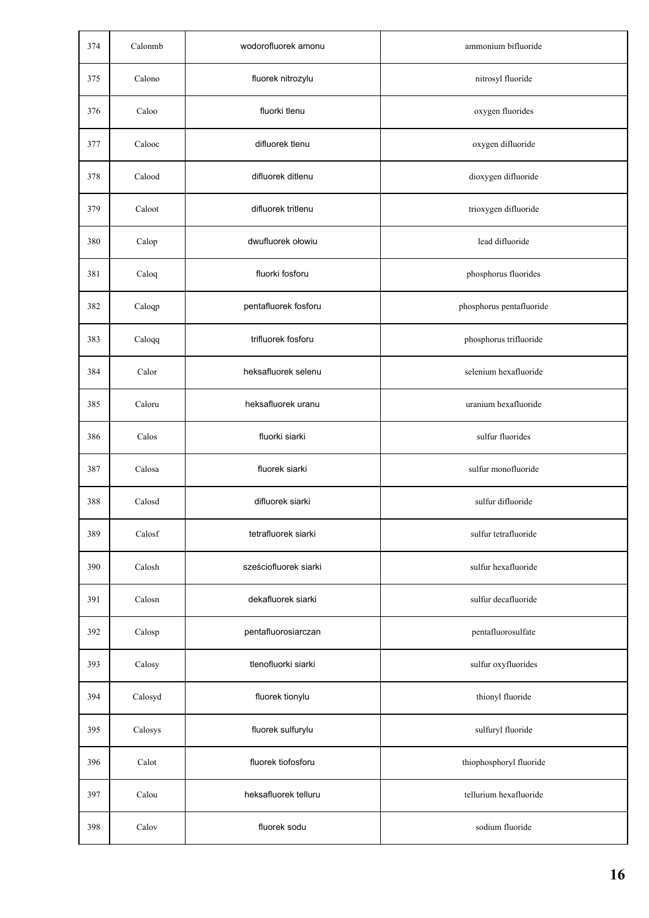| 374 | Calonmb | wodorofluorek amonu   | ammonium bifluoride      |
|-----|---------|-----------------------|--------------------------|
| 375 | Calono  | fluorek nitrozylu     | nitrosyl fluoride        |
| 376 | Caloo   | fluorki tlenu         | oxygen fluorides         |
| 377 | Calooc  | difluorek tlenu       | oxygen difluoride        |
| 378 | Calood  | difluorek ditlenu     | dioxygen difluoride      |
| 379 | Caloot  | difluorek tritlenu    | trioxygen difluoride     |
| 380 | Calop   | dwufluorek ołowiu     | lead difluoride          |
| 381 | Caloq   | fluorki fosforu       | phosphorus fluorides     |
| 382 | Caloqp  | pentafluorek fosforu  | phosphorus pentafluoride |
| 383 | Caloqq  | trifluorek fosforu    | phosphorus trifluoride   |
| 384 | Calor   | heksafluorek selenu   | selenium hexafluoride    |
| 385 | Caloru  | heksafluorek uranu    | uranium hexafluoride     |
| 386 | Calos   | fluorki siarki        | sulfur fluorides         |
| 387 | Calosa  | fluorek siarki        | sulfur monofluoride      |
| 388 | Calosd  | difluorek siarki      | sulfur difluoride        |
| 389 | Calosf  | tetrafluorek siarki   | sulfur tetrafluoride     |
| 390 | Calosh  | sześciofluorek siarki | sulfur hexafluoride      |
| 391 | Calosn  | dekafluorek siarki    | sulfur decafluoride      |
| 392 | Calosp  | pentafluorosiarczan   | pentafluorosulfate       |
| 393 | Calosy  | tlenofluorki siarki   | sulfur oxyfluorides      |
| 394 | Calosyd | fluorek tionylu       | thionyl fluoride         |
| 395 | Calosys | fluorek sulfurylu     | sulfuryl fluoride        |
| 396 | Calot   | fluorek tiofosforu    | thiophosphoryl fluoride  |
| 397 | Calou   | heksafluorek telluru  | tellurium hexafluoride   |
| 398 | Calov   | fluorek sodu          | sodium fluoride          |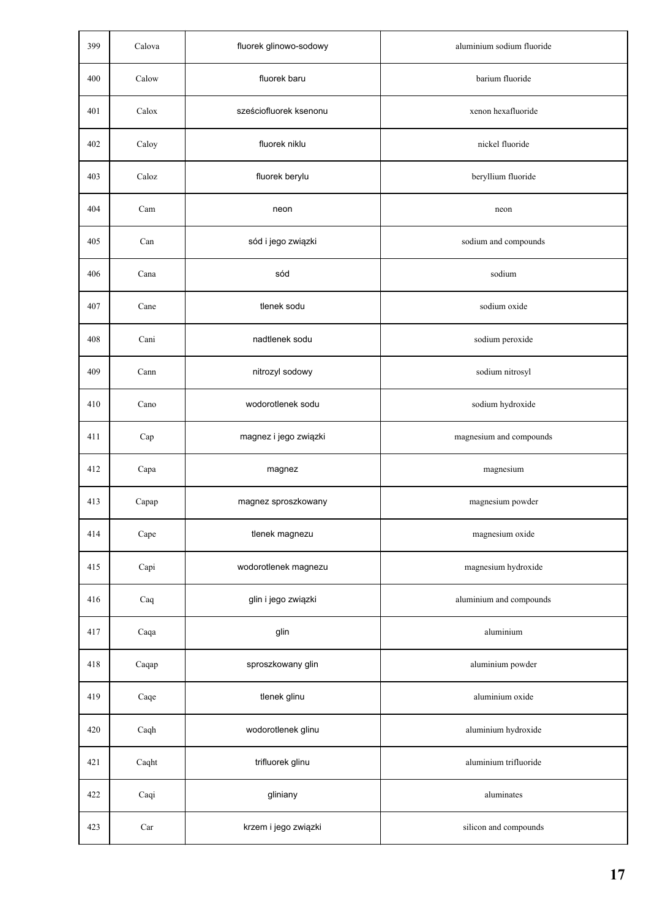| 399 | Calova | fluorek glinowo-sodowy | aluminium sodium fluoride |
|-----|--------|------------------------|---------------------------|
| 400 | Calow  | fluorek baru           | barium fluoride           |
| 401 | Calox  | sześciofluorek ksenonu | xenon hexafluoride        |
| 402 | Caloy  | fluorek niklu          | nickel fluoride           |
| 403 | Caloz  | fluorek berylu         | beryllium fluoride        |
| 404 | Cam    | neon                   | neon                      |
| 405 | Can    | sód i jego związki     | sodium and compounds      |
| 406 | Cana   | sód                    | sodium                    |
| 407 | Cane   | tlenek sodu            | sodium oxide              |
| 408 | Cani   | nadtlenek sodu         | sodium peroxide           |
| 409 | Cann   | nitrozyl sodowy        | sodium nitrosyl           |
| 410 | Cano   | wodorotlenek sodu      | sodium hydroxide          |
| 411 | Cap    | magnez i jego związki  | magnesium and compounds   |
| 412 | Capa   | magnez                 | magnesium                 |
| 413 | Capap  | magnez sproszkowany    | magnesium powder          |
| 414 | Cape   | tlenek magnezu         | magnesium oxide           |
| 415 | Capi   | wodorotlenek magnezu   | magnesium hydroxide       |
| 416 | Caq    | glin i jego związki    | aluminium and compounds   |
| 417 | Caqa   | glin                   | aluminium                 |
| 418 | Caqap  | sproszkowany glin      | aluminium powder          |
| 419 | Caqe   | tlenek glinu           | aluminium oxide           |
| 420 | Caqh   | wodorotlenek glinu     | aluminium hydroxide       |
| 421 | Caqht  | trifluorek glinu       | aluminium trifluoride     |
| 422 | Caqi   | gliniany               | aluminates                |
| 423 | Car    | krzem i jego związki   | silicon and compounds     |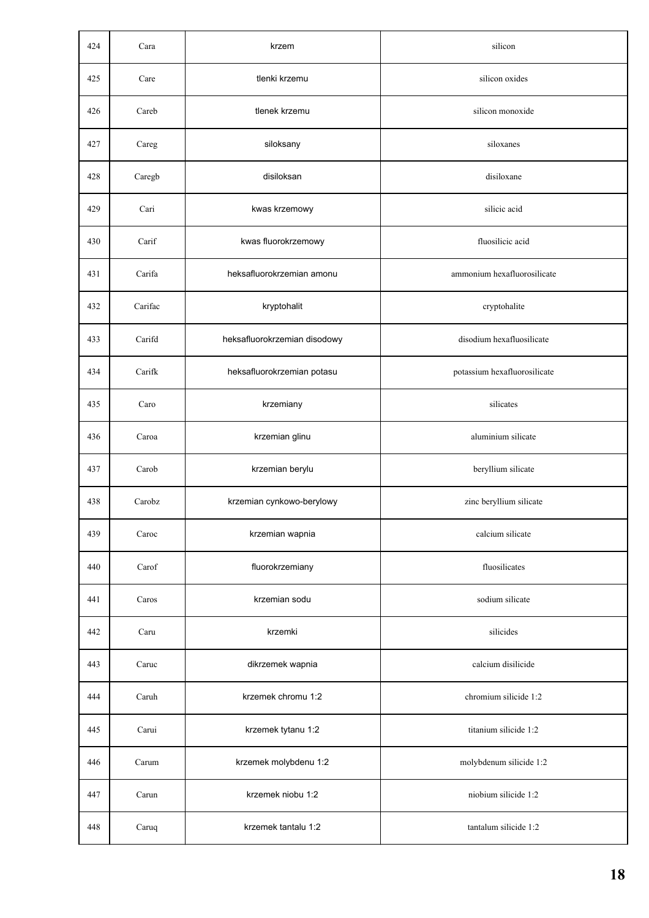| 424 | Cara    | krzem                        | silicon                      |
|-----|---------|------------------------------|------------------------------|
| 425 | Care    | tlenki krzemu                | silicon oxides               |
| 426 | Careb   | tlenek krzemu                | silicon monoxide             |
| 427 | Careg   | siloksany                    | siloxanes                    |
| 428 | Caregb  | disiloksan                   | disiloxane                   |
| 429 | Cari    | kwas krzemowy                | silicic acid                 |
| 430 | Carif   | kwas fluorokrzemowy          | fluosilicic acid             |
| 431 | Carifa  | heksafluorokrzemian amonu    | ammonium hexafluorosilicate  |
| 432 | Carifac | kryptohalit                  | cryptohalite                 |
| 433 | Carifd  | heksafluorokrzemian disodowy | disodium hexafluosilicate    |
| 434 | Carifk  | heksafluorokrzemian potasu   | potassium hexafluorosilicate |
| 435 | Caro    | krzemiany                    | silicates                    |
| 436 | Caroa   | krzemian glinu               | aluminium silicate           |
| 437 | Carob   | krzemian berylu              | beryllium silicate           |
| 438 | Carobz  | krzemian cynkowo-berylowy    | zinc beryllium silicate      |
| 439 | Caroc   | krzemian wapnia              | calcium silicate             |
| 440 | Carof   | fluorokrzemiany              | fluosilicates                |
| 441 | Caros   | krzemian sodu                | sodium silicate              |
| 442 | Caru    | krzemki                      | silicides                    |
| 443 | Caruc   | dikrzemek wapnia             | calcium disilicide           |
| 444 | Caruh   | krzemek chromu 1:2           | chromium silicide 1:2        |
| 445 | Carui   | krzemek tytanu 1:2           | titanium silicide 1:2        |
| 446 | Carum   | krzemek molybdenu 1:2        | molybdenum silicide 1:2      |
| 447 | Carun   | krzemek niobu 1:2            | niobium silicide 1:2         |
| 448 | Caruq   | krzemek tantalu 1:2          | tantalum silicide 1:2        |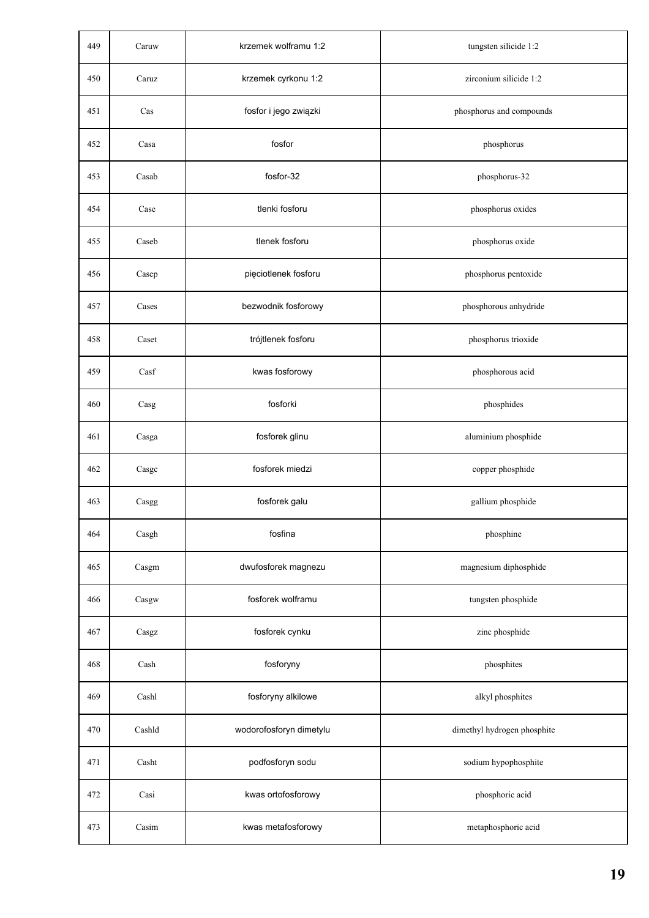| 449 | Caruw  | krzemek wolframu 1:2    | tungsten silicide 1:2       |
|-----|--------|-------------------------|-----------------------------|
| 450 | Caruz  | krzemek cyrkonu 1:2     | zirconium silicide 1:2      |
| 451 | Cas    | fosfor i jego związki   | phosphorus and compounds    |
| 452 | Casa   | fosfor                  | phosphorus                  |
| 453 | Casab  | fosfor-32               | phosphorus-32               |
| 454 | Case   | tlenki fosforu          | phosphorus oxides           |
| 455 | Caseb  | tlenek fosforu          | phosphorus oxide            |
| 456 | Casep  | pięciotlenek fosforu    | phosphorus pentoxide        |
| 457 | Cases  | bezwodnik fosforowy     | phosphorous anhydride       |
| 458 | Caset  | trójtlenek fosforu      | phosphorus trioxide         |
| 459 | Casf   | kwas fosforowy          | phosphorous acid            |
| 460 | Casg   | fosforki                | phosphides                  |
| 461 | Casga  | fosforek glinu          | aluminium phosphide         |
| 462 | Casgc  | fosforek miedzi         | copper phosphide            |
| 463 | Casgg  | fosforek galu           | gallium phosphide           |
| 464 | Casgh  | fosfina                 | phosphine                   |
| 465 | Casgm  | dwufosforek magnezu     | magnesium diphosphide       |
| 466 | Casgw  | fosforek wolframu       | tungsten phosphide          |
| 467 | Casgz  | fosforek cynku          | zinc phosphide              |
| 468 | Cash   | fosforyny               | phosphites                  |
| 469 | Cashl  | fosforyny alkilowe      | alkyl phosphites            |
| 470 | Cashld | wodorofosforyn dimetylu | dimethyl hydrogen phosphite |
| 471 | Casht  | podfosforyn sodu        | sodium hypophosphite        |
| 472 | Casi   | kwas ortofosforowy      | phosphoric acid             |
| 473 | Casim  | kwas metafosforowy      | metaphosphoric acid         |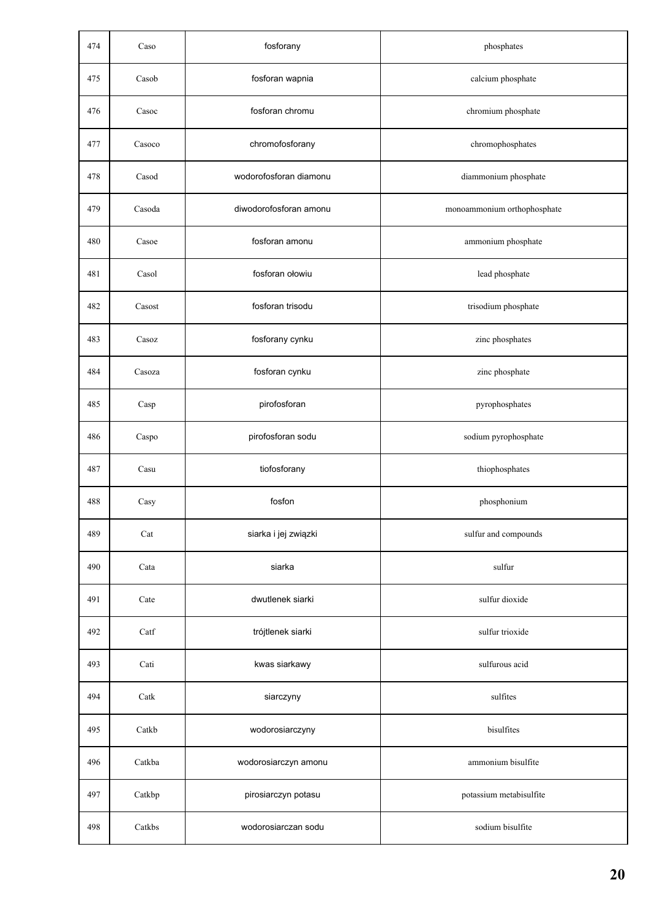| 474 | Caso   | fosforany              | phosphates                  |
|-----|--------|------------------------|-----------------------------|
| 475 | Casob  | fosforan wapnia        | calcium phosphate           |
| 476 | Casoc  | fosforan chromu        | chromium phosphate          |
| 477 | Casoco | chromofosforany        | chromophosphates            |
| 478 | Casod  | wodorofosforan diamonu | diammonium phosphate        |
| 479 | Casoda | diwodorofosforan amonu | monoammonium orthophosphate |
| 480 | Casoe  | fosforan amonu         | ammonium phosphate          |
| 481 | Casol  | fosforan ołowiu        | lead phosphate              |
| 482 | Casost | fosforan trisodu       | trisodium phosphate         |
| 483 | Casoz  | fosforany cynku        | zinc phosphates             |
| 484 | Casoza | fosforan cynku         | zinc phosphate              |
| 485 | Casp   | pirofosforan           | pyrophosphates              |
| 486 | Caspo  | pirofosforan sodu      | sodium pyrophosphate        |
| 487 | Casu   | tiofosforany           | thiophosphates              |
| 488 | Casy   | fosfon                 | phosphonium                 |
| 489 | Cat    | siarka i jej związki   | sulfur and compounds        |
| 490 | Cata   | siarka                 | sulfur                      |
| 491 | Cate   | dwutlenek siarki       | sulfur dioxide              |
| 492 | Catf   | trójtlenek siarki      | sulfur trioxide             |
| 493 | Cati   | kwas siarkawy          | sulfurous acid              |
| 494 | Catk   | siarczyny              | sulfites                    |
| 495 | Catkb  | wodorosiarczyny        | bisulfites                  |
| 496 | Catkba | wodorosiarczyn amonu   | ammonium bisulfite          |
| 497 | Catkbp | pirosiarczyn potasu    | potassium metabisulfite     |
| 498 | Catkbs | wodorosiarczan sodu    | sodium bisulfite            |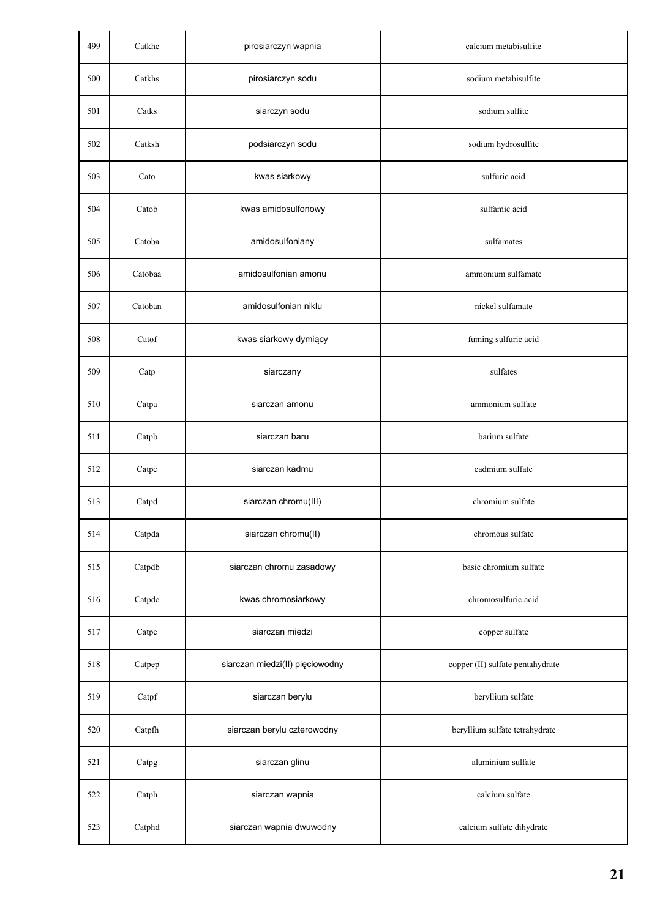| 499 | Catkhc  | pirosiarczyn wapnia             | calcium metabisulfite            |
|-----|---------|---------------------------------|----------------------------------|
| 500 | Catkhs  | pirosiarczyn sodu               | sodium metabisulfite             |
| 501 | Catks   | siarczyn sodu                   | sodium sulfite                   |
| 502 | Catksh  | podsiarczyn sodu                | sodium hydrosulfite              |
| 503 | Cato    | kwas siarkowy                   | sulfuric acid                    |
| 504 | Catob   | kwas amidosulfonowy             | sulfamic acid                    |
| 505 | Catoba  | amidosulfoniany                 | sulfamates                       |
| 506 | Catobaa | amidosulfonian amonu            | ammonium sulfamate               |
| 507 | Catoban | amidosulfonian niklu            | nickel sulfamate                 |
| 508 | Catof   | kwas siarkowy dymiący           | fuming sulfuric acid             |
| 509 | Catp    | siarczany                       | sulfates                         |
| 510 | Catpa   | siarczan amonu                  | ammonium sulfate                 |
| 511 | Catpb   | siarczan baru                   | barium sulfate                   |
| 512 | Catpc   | siarczan kadmu                  | cadmium sulfate                  |
| 513 | Catpd   | siarczan chromu(III)            | chromium sulfate                 |
| 514 | Catpda  | siarczan chromu(II)             | chromous sulfate                 |
| 515 | Catpdb  | siarczan chromu zasadowy        | basic chromium sulfate           |
| 516 | Catpdc  | kwas chromosiarkowy             | chromosulfuric acid              |
| 517 | Catpe   | siarczan miedzi                 | copper sulfate                   |
| 518 | Catpep  | siarczan miedzi(II) pięciowodny | copper (II) sulfate pentahydrate |
| 519 | Catpf   | siarczan berylu                 | beryllium sulfate                |
| 520 | Catpfh  | siarczan berylu czterowodny     | beryllium sulfate tetrahydrate   |
| 521 | Catpg   | siarczan glinu                  | aluminium sulfate                |
| 522 | Catph   | siarczan wapnia                 | calcium sulfate                  |
| 523 | Catphd  | siarczan wapnia dwuwodny        | calcium sulfate dihydrate        |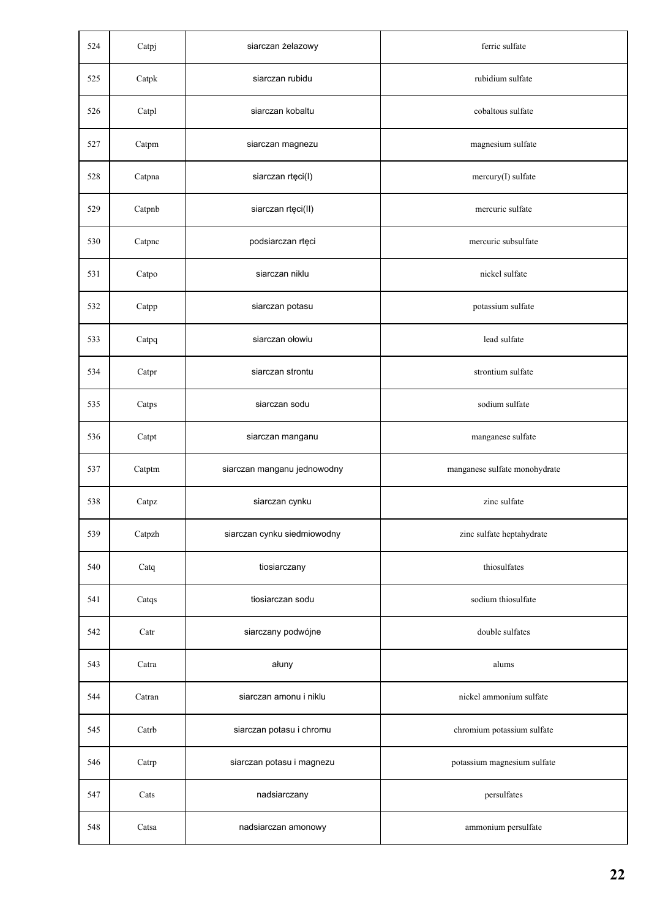| 524 | Catpj  | siarczan żelazowy           | ferric sulfate                |
|-----|--------|-----------------------------|-------------------------------|
| 525 | Catpk  | siarczan rubidu             | rubidium sulfate              |
| 526 | Catpl  | siarczan kobaltu            | cobaltous sulfate             |
| 527 | Catpm  | siarczan magnezu            | magnesium sulfate             |
| 528 | Catpna | siarczan rtęci(I)           | mercury(I) sulfate            |
| 529 | Catpnb | siarczan rtęci(II)          | mercuric sulfate              |
| 530 | Catpnc | podsiarczan rtęci           | mercuric subsulfate           |
| 531 | Catpo  | siarczan niklu              | nickel sulfate                |
| 532 | Catpp  | siarczan potasu             | potassium sulfate             |
| 533 | Catpq  | siarczan ołowiu             | lead sulfate                  |
| 534 | Catpr  | siarczan strontu            | strontium sulfate             |
| 535 | Catps  | siarczan sodu               | sodium sulfate                |
| 536 | Catpt  | siarczan manganu            | manganese sulfate             |
| 537 | Catptm | siarczan manganu jednowodny | manganese sulfate monohydrate |
| 538 | Catpz  | siarczan cynku              | zinc sulfate                  |
| 539 | Catpzh | siarczan cynku siedmiowodny | zinc sulfate heptahydrate     |
| 540 | Catq   | tiosiarczany                | thiosulfates                  |
| 541 | Catqs  | tiosiarczan sodu            | sodium thiosulfate            |
| 542 | Catr   | siarczany podwójne          | double sulfates               |
| 543 | Catra  | ałuny                       | alums                         |
| 544 | Catran | siarczan amonu i niklu      | nickel ammonium sulfate       |
| 545 | Catrb  | siarczan potasu i chromu    | chromium potassium sulfate    |
| 546 | Catrp  | siarczan potasu i magnezu   | potassium magnesium sulfate   |
| 547 | Cats   | nadsiarczany                | persulfates                   |
| 548 | Catsa  | nadsiarczan amonowy         | ammonium persulfate           |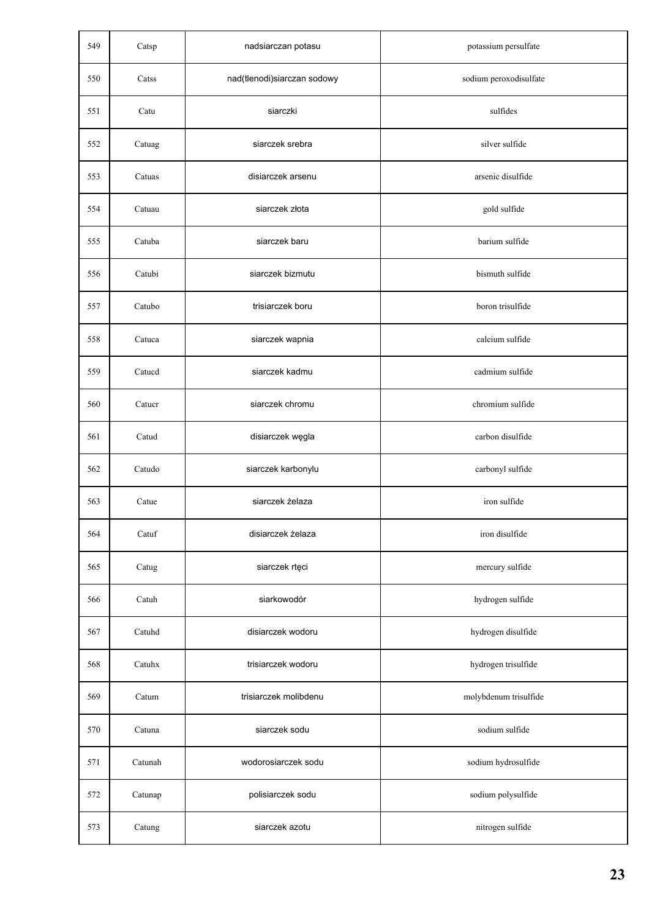| 549 | Catsp   | nadsiarczan potasu          | potassium persulfate   |
|-----|---------|-----------------------------|------------------------|
| 550 | Catss   | nad(tlenodi)siarczan sodowy | sodium peroxodisulfate |
| 551 | Catu    | siarczki                    | sulfides               |
| 552 | Catuag  | siarczek srebra             | silver sulfide         |
| 553 | Catuas  | disiarczek arsenu           | arsenic disulfide      |
| 554 | Catuau  | siarczek złota              | gold sulfide           |
| 555 | Catuba  | siarczek baru               | barium sulfide         |
| 556 | Catubi  | siarczek bizmutu            | bismuth sulfide        |
| 557 | Catubo  | trisiarczek boru            | boron trisulfide       |
| 558 | Catuca  | siarczek wapnia             | calcium sulfide        |
| 559 | Catucd  | siarczek kadmu              | cadmium sulfide        |
| 560 | Catucr  | siarczek chromu             | chromium sulfide       |
| 561 | Catud   | disiarczek węgla            | carbon disulfide       |
| 562 | Catudo  | siarczek karbonylu          | carbonyl sulfide       |
| 563 | Catue   | siarczek żelaza             | iron sulfide           |
| 564 | Catuf   | disiarczek żelaza           | iron disulfide         |
| 565 | Catug   | siarczek rtęci              | mercury sulfide        |
| 566 | Catuh   | siarkowodór                 | hydrogen sulfide       |
| 567 | Catuhd  | disiarczek wodoru           | hydrogen disulfide     |
| 568 | Catuhx  | trisiarczek wodoru          | hydrogen trisulfide    |
| 569 | Catum   | trisiarczek molibdenu       | molybdenum trisulfide  |
| 570 | Catuna  | siarczek sodu               | sodium sulfide         |
| 571 | Catunah | wodorosiarczek sodu         | sodium hydrosulfide    |
| 572 | Catunap | polisiarczek sodu           | sodium polysulfide     |
| 573 | Catung  | siarczek azotu              | nitrogen sulfide       |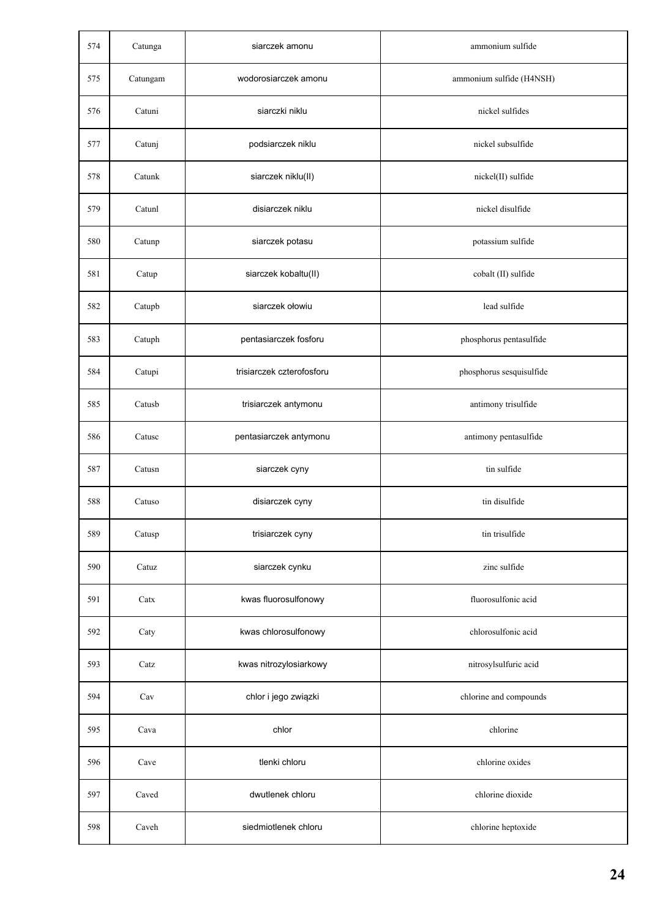| 574 | Catunga  | siarczek amonu            | ammonium sulfide         |
|-----|----------|---------------------------|--------------------------|
| 575 | Catungam | wodorosiarczek amonu      | ammonium sulfide (H4NSH) |
| 576 | Catuni   | siarczki niklu            | nickel sulfides          |
| 577 | Catunj   | podsiarczek niklu         | nickel subsulfide        |
| 578 | Catunk   | siarczek niklu(II)        | nickel(II) sulfide       |
| 579 | Catunl   | disiarczek niklu          | nickel disulfide         |
| 580 | Catunp   | siarczek potasu           | potassium sulfide        |
| 581 | Catup    | siarczek kobaltu(II)      | cobalt (II) sulfide      |
| 582 | Catupb   | siarczek ołowiu           | lead sulfide             |
| 583 | Catuph   | pentasiarczek fosforu     | phosphorus pentasulfide  |
| 584 | Catupi   | trisiarczek czterofosforu | phosphorus sesquisulfide |
| 585 | Catusb   | trisiarczek antymonu      | antimony trisulfide      |
| 586 | Catusc   | pentasiarczek antymonu    | antimony pentasulfide    |
| 587 | Catusn   | siarczek cyny             | tin sulfide              |
| 588 | Catuso   | disiarczek cyny           | tin disulfide            |
| 589 | Catusp   | trisiarczek cyny          | tin trisulfide           |
| 590 | Catuz    | siarczek cynku            | zinc sulfide             |
| 591 | Catx     | kwas fluorosulfonowy      | fluorosulfonic acid      |
| 592 | Caty     | kwas chlorosulfonowy      | chlorosulfonic acid      |
| 593 | Catz     | kwas nitrozylosiarkowy    | nitrosylsulfuric acid    |
| 594 | Cav      | chlor i jego związki      | chlorine and compounds   |
| 595 | Cava     | chlor                     | chlorine                 |
| 596 | Cave     | tlenki chloru             | chlorine oxides          |
| 597 | Caved    | dwutlenek chloru          | chlorine dioxide         |
| 598 | Caveh    | siedmiotlenek chloru      | chlorine heptoxide       |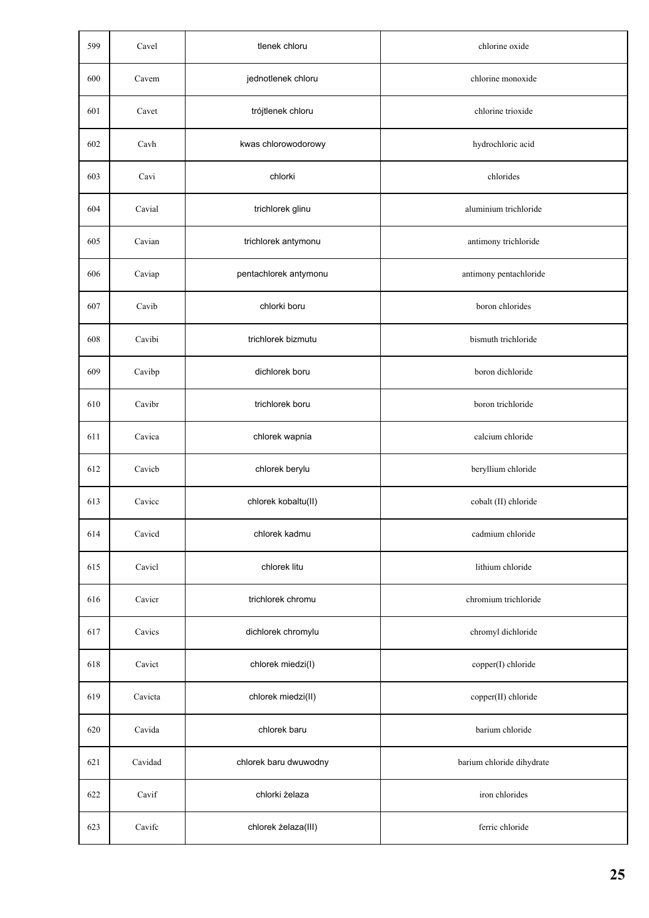| 599 | Cavel   | tlenek chloru         | chlorine oxide            |
|-----|---------|-----------------------|---------------------------|
| 600 | Cavem   | jednotlenek chloru    | chlorine monoxide         |
| 601 | Cavet   | trójtlenek chloru     | chlorine trioxide         |
| 602 | Cavh    | kwas chlorowodorowy   | hydrochloric acid         |
| 603 | Cavi    | chlorki               | chlorides                 |
| 604 | Cavial  | trichlorek glinu      | aluminium trichloride     |
| 605 | Cavian  | trichlorek antymonu   | antimony trichloride      |
| 606 | Caviap  | pentachlorek antymonu | antimony pentachloride    |
| 607 | Cavib   | chlorki boru          | boron chlorides           |
| 608 | Cavibi  | trichlorek bizmutu    | bismuth trichloride       |
| 609 | Cavibp  | dichlorek boru        | boron dichloride          |
| 610 | Cavibr  | trichlorek boru       | boron trichloride         |
| 611 | Cavica  | chlorek wapnia        | calcium chloride          |
| 612 | Cavicb  | chlorek berylu        | beryllium chloride        |
| 613 | Cavicc  | chlorek kobaltu(II)   | cobalt (II) chloride      |
| 614 | Cavicd  | chlorek kadmu         | cadmium chloride          |
| 615 | Cavicl  | chlorek litu          | lithium chloride          |
| 616 | Cavicr  | trichlorek chromu     | chromium trichloride      |
| 617 | Cavics  | dichlorek chromylu    | chromyl dichloride        |
| 618 | Cavict  | chlorek miedzi(I)     | copper(I) chloride        |
| 619 | Cavicta | chlorek miedzi(II)    | copper(II) chloride       |
| 620 | Cavida  | chlorek baru          | barium chloride           |
| 621 | Cavidad | chlorek baru dwuwodny | barium chloride dihydrate |
| 622 | Cavif   | chlorki żelaza        | iron chlorides            |
| 623 | Cavifc  | chlorek żelaza(III)   | ferric chloride           |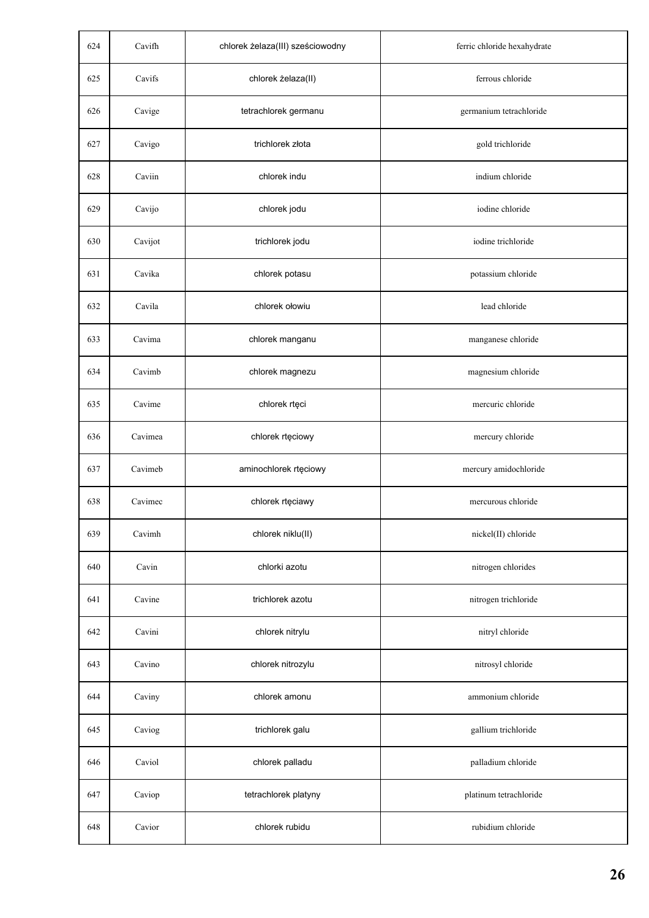| 624 | Cavifh  | chlorek żelaza(III) sześciowodny | ferric chloride hexahydrate |
|-----|---------|----------------------------------|-----------------------------|
| 625 | Cavifs  | chlorek żelaza(II)               | ferrous chloride            |
| 626 | Cavige  | tetrachlorek germanu             | germanium tetrachloride     |
| 627 | Cavigo  | trichlorek złota                 | gold trichloride            |
| 628 | Caviin  | chlorek indu                     | indium chloride             |
| 629 | Cavijo  | chlorek jodu                     | iodine chloride             |
| 630 | Cavijot | trichlorek jodu                  | iodine trichloride          |
| 631 | Cavika  | chlorek potasu                   | potassium chloride          |
| 632 | Cavila  | chlorek ołowiu                   | lead chloride               |
| 633 | Cavima  | chlorek manganu                  | manganese chloride          |
| 634 | Cavimb  | chlorek magnezu                  | magnesium chloride          |
| 635 | Cavime  | chlorek rtęci                    | mercuric chloride           |
| 636 | Cavimea | chlorek rtęciowy                 | mercury chloride            |
| 637 | Cavimeb | aminochlorek rtęciowy            | mercury amidochloride       |
| 638 | Cavimec | chlorek rtęciawy                 | mercurous chloride          |
| 639 | Cavimh  | chlorek niklu(II)                | nickel(II) chloride         |
| 640 | Cavin   | chlorki azotu                    | nitrogen chlorides          |
| 641 | Cavine  | trichlorek azotu                 | nitrogen trichloride        |
| 642 | Cavini  | chlorek nitrylu                  | nitryl chloride             |
| 643 | Cavino  | chlorek nitrozylu                | nitrosyl chloride           |
| 644 | Caviny  | chlorek amonu                    | ammonium chloride           |
| 645 | Caviog  | trichlorek galu                  | gallium trichloride         |
| 646 | Caviol  | chlorek palladu                  | palladium chloride          |
| 647 | Caviop  | tetrachlorek platyny             | platinum tetrachloride      |
| 648 | Cavior  | chlorek rubidu                   | rubidium chloride           |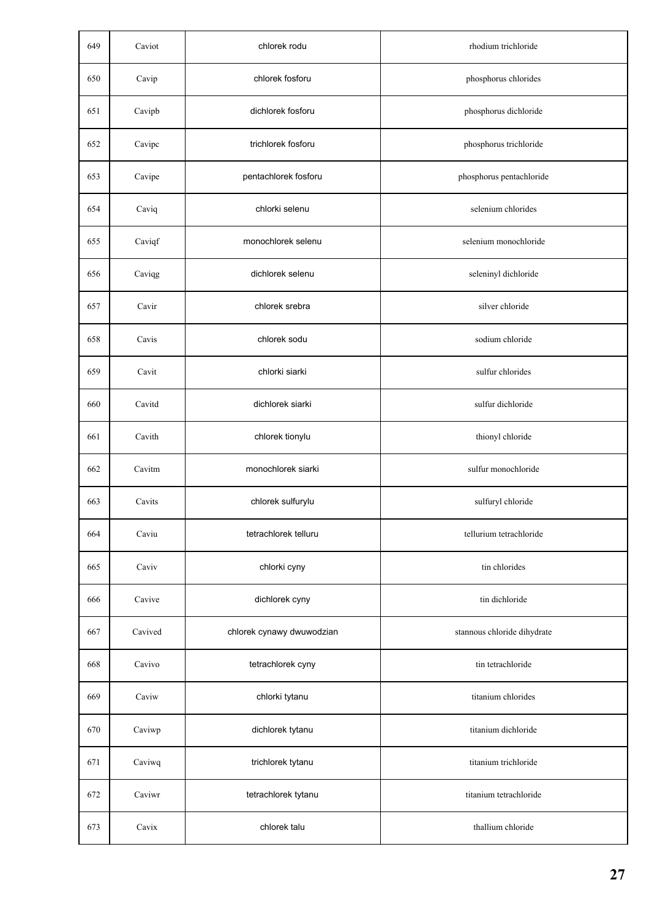| 649 | Caviot  | chlorek rodu              | rhodium trichloride         |
|-----|---------|---------------------------|-----------------------------|
| 650 | Cavip   | chlorek fosforu           | phosphorus chlorides        |
| 651 | Cavipb  | dichlorek fosforu         | phosphorus dichloride       |
| 652 | Cavipc  | trichlorek fosforu        | phosphorus trichloride      |
| 653 | Cavipe  | pentachlorek fosforu      | phosphorus pentachloride    |
| 654 | Caviq   | chlorki selenu            | selenium chlorides          |
| 655 | Caviqf  | monochlorek selenu        | selenium monochloride       |
| 656 | Caviqg  | dichlorek selenu          | seleninyl dichloride        |
| 657 | Cavir   | chlorek srebra            | silver chloride             |
| 658 | Cavis   | chlorek sodu              | sodium chloride             |
| 659 | Cavit   | chlorki siarki            | sulfur chlorides            |
| 660 | Cavitd  | dichlorek siarki          | sulfur dichloride           |
| 661 | Cavith  | chlorek tionylu           | thionyl chloride            |
| 662 | Cavitm  | monochlorek siarki        | sulfur monochloride         |
| 663 | Cavits  | chlorek sulfurylu         | sulfuryl chloride           |
| 664 | Caviu   | tetrachlorek telluru      | tellurium tetrachloride     |
| 665 | Caviv   | chlorki cyny              | tin chlorides               |
| 666 | Cavive  | dichlorek cyny            | tin dichloride              |
| 667 | Cavived | chlorek cynawy dwuwodzian | stannous chloride dihydrate |
| 668 | Cavivo  | tetrachlorek cyny         | tin tetrachloride           |
| 669 | Caviw   | chlorki tytanu            | titanium chlorides          |
| 670 | Caviwp  | dichlorek tytanu          | titanium dichloride         |
| 671 | Caviwq  | trichlorek tytanu         | titanium trichloride        |
| 672 | Caviwr  | tetrachlorek tytanu       | titanium tetrachloride      |
| 673 | Cavix   | chlorek talu              | thallium chloride           |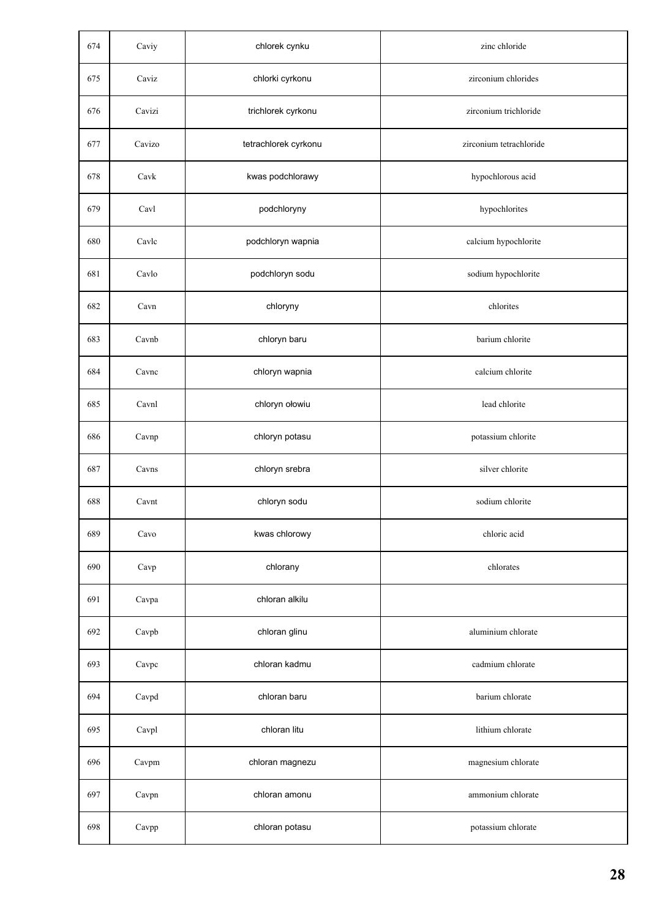| 674 | Caviy  | chlorek cynku        | zinc chloride           |
|-----|--------|----------------------|-------------------------|
| 675 | Caviz  | chlorki cyrkonu      | zirconium chlorides     |
| 676 | Cavizi | trichlorek cyrkonu   | zirconium trichloride   |
| 677 | Cavizo | tetrachlorek cyrkonu | zirconium tetrachloride |
| 678 | Cavk   | kwas podchlorawy     | hypochlorous acid       |
| 679 | Cavl   | podchloryny          | hypochlorites           |
| 680 | Cavlc  | podchloryn wapnia    | calcium hypochlorite    |
| 681 | Cavlo  | podchloryn sodu      | sodium hypochlorite     |
| 682 | Cavn   | chloryny             | chlorites               |
| 683 | Cavnb  | chloryn baru         | barium chlorite         |
| 684 | Cavnc  | chloryn wapnia       | calcium chlorite        |
| 685 | Cavnl  | chloryn ołowiu       | lead chlorite           |
| 686 | Cavnp  | chloryn potasu       | potassium chlorite      |
| 687 | Cavns  | chloryn srebra       | silver chlorite         |
| 688 | Cavnt  | chloryn sodu         | sodium chlorite         |
| 689 | Cavo   | kwas chlorowy        | chloric acid            |
| 690 | Cavp   | chlorany             | chlorates               |
| 691 | Cavpa  | chloran alkilu       |                         |
| 692 | Cavpb  | chloran glinu        | aluminium chlorate      |
| 693 | Cavpc  | chloran kadmu        | cadmium chlorate        |
| 694 | Cavpd  | chloran baru         | barium chlorate         |
| 695 | Cavpl  | chloran litu         | lithium chlorate        |
| 696 | Cavpm  | chloran magnezu      | magnesium chlorate      |
| 697 | Cavpn  | chloran amonu        | ammonium chlorate       |
| 698 | Cavpp  | chloran potasu       | potassium chlorate      |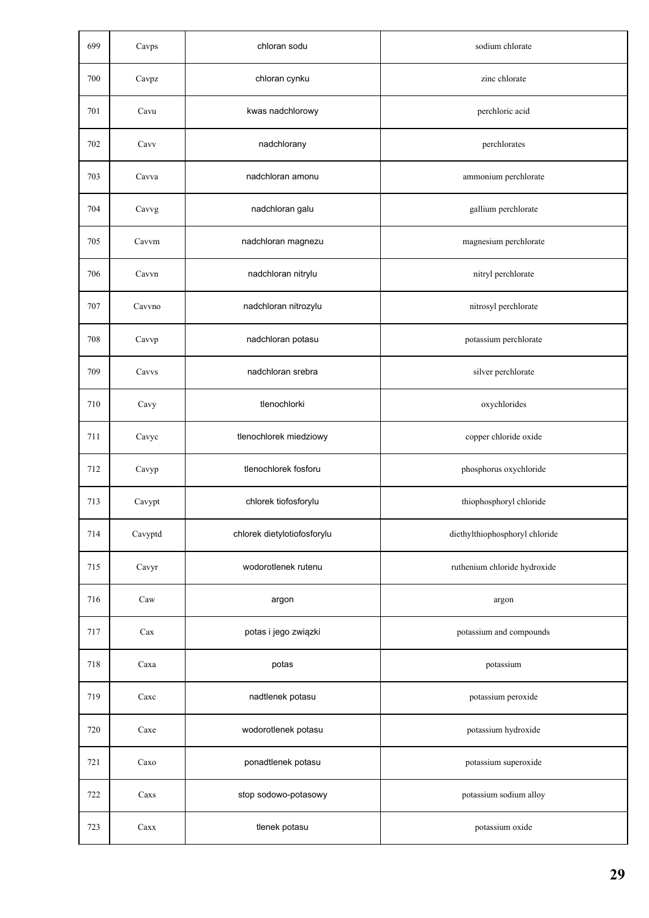| 699 | Cavps        | chloran sodu                | sodium chlorate                |
|-----|--------------|-----------------------------|--------------------------------|
| 700 | Cavpz        | chloran cynku               | zinc chlorate                  |
| 701 | Cavu         | kwas nadchlorowy            | perchloric acid                |
| 702 | Cavv         | nadchlorany                 | perchlorates                   |
| 703 | Cavva        | nadchloran amonu            | ammonium perchlorate           |
| 704 | Cavvg        | nadchloran galu             | gallium perchlorate            |
| 705 | Cavvm        | nadchloran magnezu          | magnesium perchlorate          |
| 706 | Cavvn        | nadchloran nitrylu          | nitryl perchlorate             |
| 707 | Cavvno       | nadchloran nitrozylu        | nitrosyl perchlorate           |
| 708 | Cavvp        | nadchloran potasu           | potassium perchlorate          |
| 709 | Cavvs        | nadchloran srebra           | silver perchlorate             |
| 710 | Cavy         | tlenochlorki                | oxychlorides                   |
| 711 | Cavyc        | tlenochlorek miedziowy      | copper chloride oxide          |
| 712 | Cavyp        | tlenochlorek fosforu        | phosphorus oxychloride         |
| 713 | Cavypt       | chlorek tiofosforylu        | thiophosphoryl chloride        |
| 714 | Cavyptd      | chlorek dietylotiofosforylu | diethylthiophosphoryl chloride |
| 715 | Cavyr        | wodorotlenek rutenu         | ruthenium chloride hydroxide   |
| 716 | Caw          | argon                       | argon                          |
| 717 | Cax          | potas i jego związki        | potassium and compounds        |
| 718 | Caxa         | potas                       | potassium                      |
| 719 | Caxc         | nadtlenek potasu            | potassium peroxide             |
| 720 | Caxe         | wodorotlenek potasu         | potassium hydroxide            |
| 721 | Caxo         | ponadtlenek potasu          | potassium superoxide           |
| 722 | Caxs         | stop sodowo-potasowy        | potassium sodium alloy         |
| 723 | $\rm {Caxx}$ | tlenek potasu               | potassium oxide                |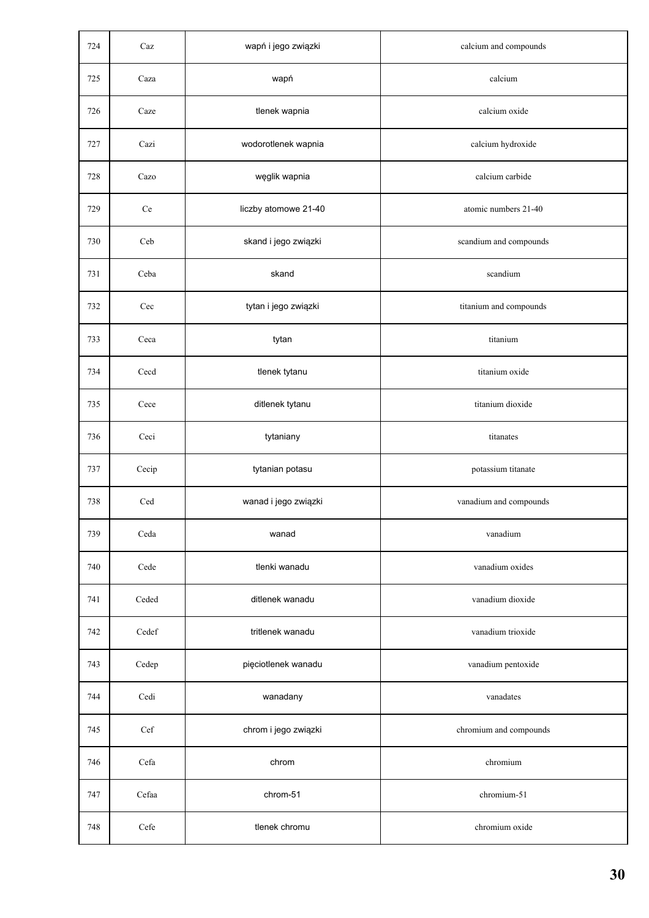| 724 | Caz   | wapń i jego związki  | calcium and compounds  |
|-----|-------|----------------------|------------------------|
| 725 | Caza  | wapń                 | calcium                |
| 726 | Caze  | tlenek wapnia        | calcium oxide          |
| 727 | Cazi  | wodorotlenek wapnia  | calcium hydroxide      |
| 728 | Cazo  | węglik wapnia        | calcium carbide        |
| 729 | Ce    | liczby atomowe 21-40 | atomic numbers 21-40   |
| 730 | Ceb   | skand i jego związki | scandium and compounds |
| 731 | Ceba  | skand                | scandium               |
| 732 | Cec   | tytan i jego związki | titanium and compounds |
| 733 | Ceca  | tytan                | titanium               |
| 734 | Cecd  | tlenek tytanu        | titanium oxide         |
| 735 | Cece  | ditlenek tytanu      | titanium dioxide       |
| 736 | Ceci  | tytaniany            | titanates              |
| 737 | Cecip | tytanian potasu      | potassium titanate     |
| 738 | Ced   | wanad i jego związki | vanadium and compounds |
| 739 | Ceda  | wanad                | vanadium               |
| 740 | Cede  | tlenki wanadu        | vanadium oxides        |
| 741 | Ceded | ditlenek wanadu      | vanadium dioxide       |
| 742 | Cedef | tritlenek wanadu     | vanadium trioxide      |
| 743 | Cedep | pięciotlenek wanadu  | vanadium pentoxide     |
| 744 | Cedi  | wanadany             | vanadates              |
| 745 | Cef   | chrom i jego związki | chromium and compounds |
| 746 | Cefa  | chrom                | chromium               |
| 747 | Cefaa | chrom-51             | chromium-51            |
| 748 | Cefe  | tlenek chromu        | chromium oxide         |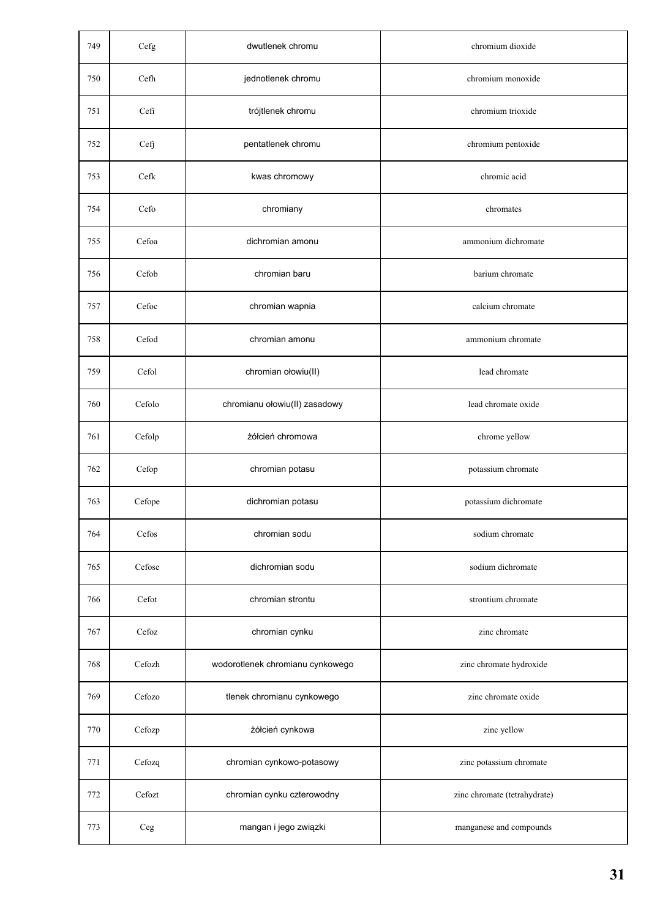| 749 | Cefg       | dwutlenek chromu                 | chromium dioxide             |
|-----|------------|----------------------------------|------------------------------|
| 750 | Cefh       | jednotlenek chromu               | chromium monoxide            |
| 751 | Cefi       | trójtlenek chromu                | chromium trioxide            |
| 752 | Cefj       | pentatlenek chromu               | chromium pentoxide           |
| 753 | Cefk       | kwas chromowy                    | chromic acid                 |
| 754 | Cefo       | chromiany                        | chromates                    |
| 755 | Cefoa      | dichromian amonu                 | ammonium dichromate          |
| 756 | Cefob      | chromian baru                    | barium chromate              |
| 757 | Cefoc      | chromian wapnia                  | calcium chromate             |
| 758 | Cefod      | chromian amonu                   | ammonium chromate            |
| 759 | Cefol      | chromian ołowiu(II)              | lead chromate                |
| 760 | Cefolo     | chromianu ołowiu(II) zasadowy    | lead chromate oxide          |
| 761 | Cefolp     | żółcień chromowa                 | chrome yellow                |
| 762 | Cefop      | chromian potasu                  | potassium chromate           |
| 763 | Cefope     | dichromian potasu                | potassium dichromate         |
| 764 | Cefos      | chromian sodu                    | sodium chromate              |
| 765 | Cefose     | dichromian sodu                  | sodium dichromate            |
| 766 | Cefot      | chromian strontu                 | strontium chromate           |
| 767 | Cefoz      | chromian cynku                   | zinc chromate                |
| 768 | Cefozh     | wodorotlenek chromianu cynkowego | zinc chromate hydroxide      |
| 769 | Cefozo     | tlenek chromianu cynkowego       | zinc chromate oxide          |
| 770 | Cefozp     | żółcień cynkowa                  | zinc yellow                  |
| 771 | Cefozq     | chromian cynkowo-potasowy        | zinc potassium chromate      |
| 772 | Cefozt     | chromian cynku czterowodny       | zinc chromate (tetrahydrate) |
| 773 | $\rm{Ceg}$ | mangan i jego związki            | manganese and compounds      |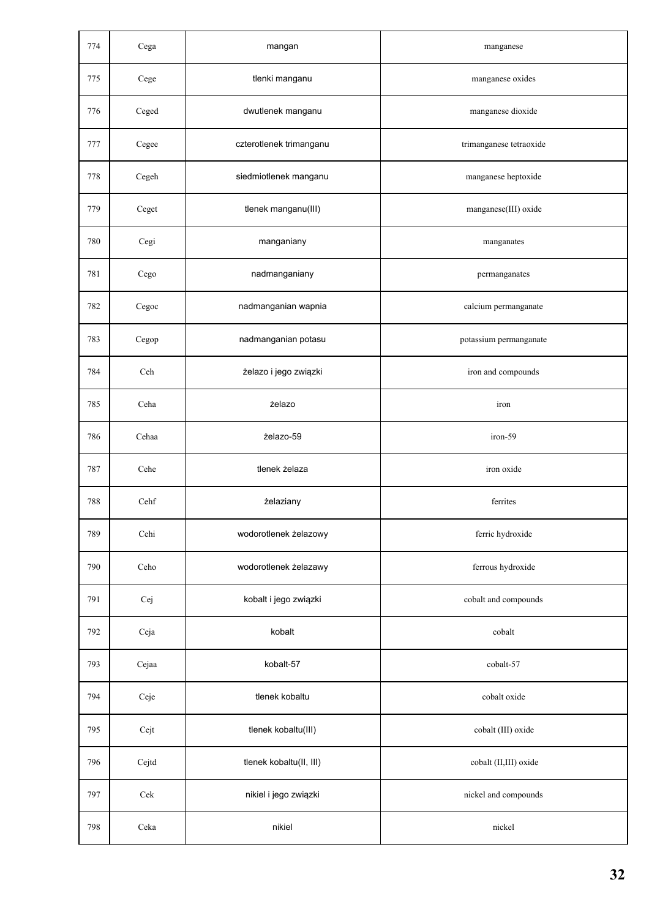| 774 | Cega                   | mangan                  | manganese               |
|-----|------------------------|-------------------------|-------------------------|
| 775 | Cege                   | tlenki manganu          | manganese oxides        |
| 776 | $\rm{Ceged}$           | dwutlenek manganu       | manganese dioxide       |
| 777 | Cegee                  | czterotlenek trimanganu | trimanganese tetraoxide |
| 778 | $\operatorname{Cegeh}$ | siedmiotlenek manganu   | manganese heptoxide     |
| 779 | Ceget                  | tlenek manganu(III)     | manganese(III) oxide    |
| 780 | Cegi                   | manganiany              | manganates              |
| 781 | Cego                   | nadmanganiany           | permanganates           |
| 782 | Cegoc                  | nadmanganian wapnia     | calcium permanganate    |
| 783 | Cegop                  | nadmanganian potasu     | potassium permanganate  |
| 784 | Ceh                    | żelazo i jego związki   | iron and compounds      |
| 785 | Ceha                   | żelazo                  | iron                    |
| 786 | Cehaa                  | żelazo-59               | iron-59                 |
| 787 | Cehe                   | tlenek żelaza           | iron oxide              |
| 788 | Cehf                   | żelaziany               | ferrites                |
| 789 | Cehi                   | wodorotlenek żelazowy   | ferric hydroxide        |
| 790 | Ceho                   | wodorotlenek żelazawy   | ferrous hydroxide       |
| 791 | Cej                    | kobalt i jego związki   | cobalt and compounds    |
| 792 | Ceja                   | kobalt                  | cobalt                  |
| 793 | Cejaa                  | kobalt-57               | cobalt-57               |
| 794 | Ceje                   | tlenek kobaltu          | cobalt oxide            |
| 795 | Cejt                   | tlenek kobaltu(III)     | cobalt (III) oxide      |
| 796 | Cejtd                  | tlenek kobaltu(II, III) | cobalt (II,III) oxide   |
| 797 | Cek                    | nikiel i jego związki   | nickel and compounds    |
| 798 | Ceka                   | nikiel                  | nickel                  |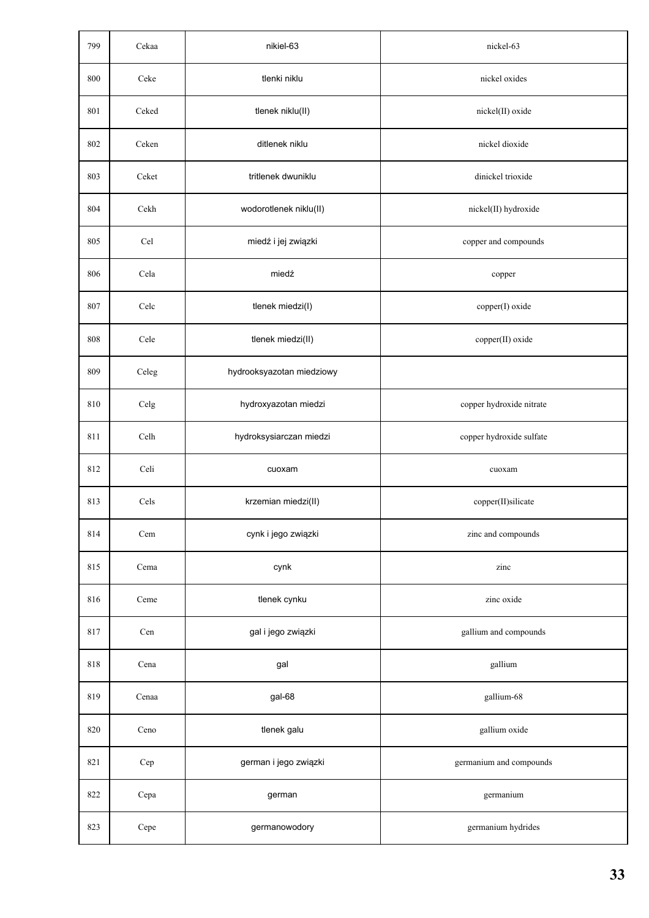| 799 | Cekaa | nikiel-63                 | nickel-63                |
|-----|-------|---------------------------|--------------------------|
| 800 | Ceke  | tlenki niklu              | nickel oxides            |
| 801 | Ceked | tlenek niklu(II)          | nickel(II) oxide         |
| 802 | Ceken | ditlenek niklu            | nickel dioxide           |
| 803 | Ceket | tritlenek dwuniklu        | dinickel trioxide        |
| 804 | Cekh  | wodorotlenek niklu(II)    | nickel(II) hydroxide     |
| 805 | Cel   | miedź i jej związki       | copper and compounds     |
| 806 | Cela  | miedź                     | copper                   |
| 807 | Celc  | tlenek miedzi(I)          | copper(I) oxide          |
| 808 | Cele  | tlenek miedzi(II)         | copper(II) oxide         |
| 809 | Celeg | hydrooksyazotan miedziowy |                          |
| 810 | Celg  | hydroxyazotan miedzi      | copper hydroxide nitrate |
| 811 | Celh  | hydroksysiarczan miedzi   | copper hydroxide sulfate |
| 812 | Celi  | cuoxam                    | cuoxam                   |
| 813 | Cels  | krzemian miedzi(II)       | copper(II)silicate       |
| 814 | Cem   | cynk i jego związki       | zinc and compounds       |
| 815 | Cema  | cynk                      | zinc                     |
| 816 | Ceme  | tlenek cynku              | zinc oxide               |
| 817 | Cen   | gal i jego związki        | gallium and compounds    |
| 818 | Cena  | gal                       | gallium                  |
| 819 | Cenaa | gal-68                    | gallium-68               |
| 820 | Ceno  | tlenek galu               | gallium oxide            |
| 821 | Cep   | german i jego związki     | germanium and compounds  |
| 822 | Cepa  | german                    | germanium                |
| 823 | Cepe  | germanowodory             | germanium hydrides       |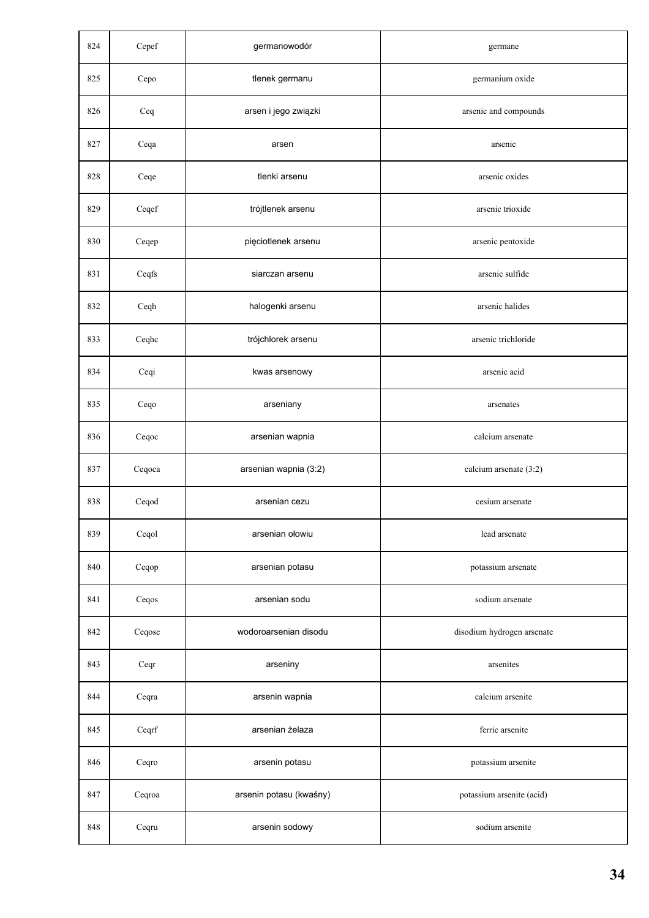| 824 | Cepef                    | germanowodór            | germane                    |
|-----|--------------------------|-------------------------|----------------------------|
| 825 | Cepo                     | tlenek germanu          | germanium oxide            |
| 826 | Ceq                      | arsen i jego związki    | arsenic and compounds      |
| 827 | Ceqa                     | arsen                   | arsenic                    |
| 828 | Ceqe                     | tlenki arsenu           | arsenic oxides             |
| 829 | $\sf{C} \sf{eq} \sf{ef}$ | trójtlenek arsenu       | arsenic trioxide           |
| 830 | Ceqep                    | pięciotlenek arsenu     | arsenic pentoxide          |
| 831 | Ceqfs                    | siarczan arsenu         | arsenic sulfide            |
| 832 | Ceqh                     | halogenki arsenu        | arsenic halides            |
| 833 | Ceqhc                    | trójchlorek arsenu      | arsenic trichloride        |
| 834 | Ceqi                     | kwas arsenowy           | arsenic acid               |
| 835 | Ceqo                     | arseniany               | arsenates                  |
| 836 | Ceqoc                    | arsenian wapnia         | calcium arsenate           |
| 837 | Ceqoca                   | arsenian wapnia (3:2)   | calcium arsenate (3:2)     |
| 838 | Ceqod                    | arsenian cezu           | cesium arsenate            |
| 839 | Ceqol                    | arsenian ołowiu         | lead arsenate              |
| 840 | Ceqop                    | arsenian potasu         | potassium arsenate         |
| 841 | Ceqos                    | arsenian sodu           | sodium arsenate            |
| 842 | Ceqose                   | wodoroarsenian disodu   | disodium hydrogen arsenate |
| 843 | Ceqr                     | arseniny                | arsenites                  |
| 844 | Ceqra                    | arsenin wapnia          | calcium arsenite           |
| 845 | Ceqrf                    | arsenian żelaza         | ferric arsenite            |
| 846 | Ceqro                    | arsenin potasu          | potassium arsenite         |
| 847 | Ceqroa                   | arsenin potasu (kwaśny) | potassium arsenite (acid)  |
| 848 | Ceqru                    | arsenin sodowy          | sodium arsenite            |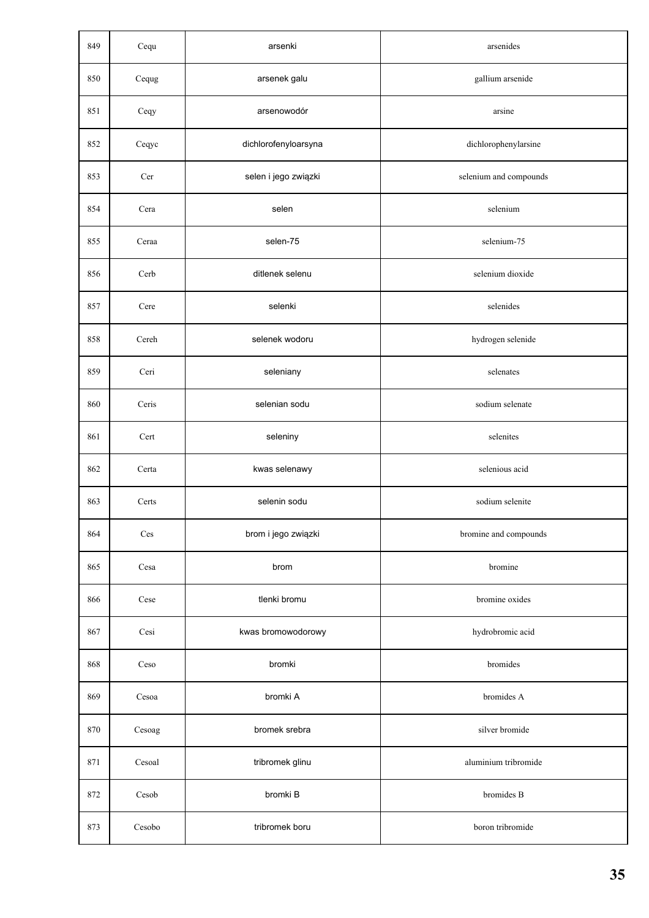| 849 | Cequ   | arsenki              | arsenides              |
|-----|--------|----------------------|------------------------|
| 850 | Cequg  | arsenek galu         | gallium arsenide       |
| 851 | Ceqy   | arsenowodór          | arsine                 |
| 852 | Ceqyc  | dichlorofenyloarsyna | dichlorophenylarsine   |
| 853 | Cer    | selen i jego związki | selenium and compounds |
| 854 | Cera   | selen                | selenium               |
| 855 | Ceraa  | selen-75             | selenium-75            |
| 856 | Cerb   | ditlenek selenu      | selenium dioxide       |
| 857 | Cere   | selenki              | selenides              |
| 858 | Cereh  | selenek wodoru       | hydrogen selenide      |
| 859 | Ceri   | seleniany            | selenates              |
| 860 | Ceris  | selenian sodu        | sodium selenate        |
| 861 | Cert   | seleniny             | selenites              |
| 862 | Certa  | kwas selenawy        | selenious acid         |
| 863 | Certs  | selenin sodu         | sodium selenite        |
| 864 | Ces    | brom i jego związki  | bromine and compounds  |
| 865 | Cesa   | brom                 | bromine                |
| 866 | Cese   | tlenki bromu         | bromine oxides         |
| 867 | Cesi   | kwas bromowodorowy   | hydrobromic acid       |
| 868 | Ceso   | bromki               | bromides               |
| 869 | Cesoa  | bromki A             | bromides A             |
| 870 | Cesoag | bromek srebra        | silver bromide         |
| 871 | Cesoal | tribromek glinu      | aluminium tribromide   |
| 872 | Cesob  | bromki B             | bromides B             |
| 873 | Cesobo | tribromek boru       | boron tribromide       |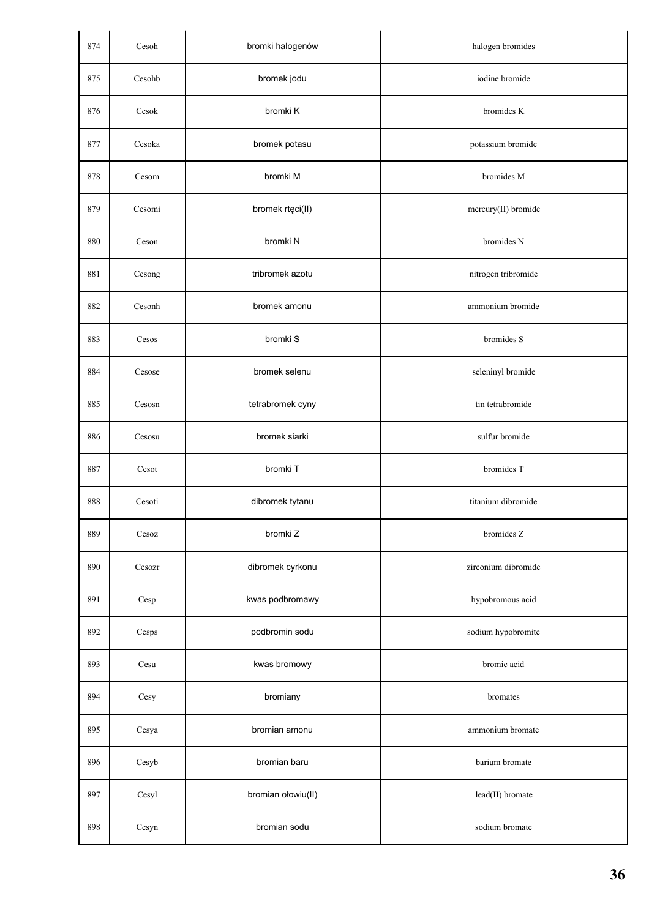| 874 | Cesoh                         | bromki halogenów   | halogen bromides    |
|-----|-------------------------------|--------------------|---------------------|
| 875 | Cesohb                        | bromek jodu        | iodine bromide      |
| 876 | Cesok                         | bromki K           | bromides K          |
| 877 | Cesoka                        | bromek potasu      | potassium bromide   |
| 878 | Cesom                         | bromki M           | bromides M          |
| 879 | Cesomi                        | bromek rtęci(II)   | mercury(II) bromide |
| 880 | Ceson                         | bromki N           | bromides N          |
| 881 | Cesong                        | tribromek azotu    | nitrogen tribromide |
| 882 | Cesonh                        | bromek amonu       | ammonium bromide    |
| 883 | Cesos                         | bromki S           | bromides S          |
| 884 | Cesose                        | bromek selenu      | seleninyl bromide   |
| 885 | Cesosn                        | tetrabromek cyny   | tin tetrabromide    |
| 886 | Cesosu                        | bromek siarki      | sulfur bromide      |
| 887 | Cesot                         | bromki T           | bromides T          |
| 888 | Cesoti                        | dibromek tytanu    | titanium dibromide  |
| 889 | $\mathop{\rm Cesoz}\nolimits$ | bromki Z           | bromides Z          |
| 890 | Cesozr                        | dibromek cyrkonu   | zirconium dibromide |
| 891 | Cesp                          | kwas podbromawy    | hypobromous acid    |
| 892 | $\mathop{\rm Cesps}\nolimits$ | podbromin sodu     | sodium hypobromite  |
| 893 | Cesu                          | kwas bromowy       | bromic acid         |
| 894 | Cesy                          | bromiany           | bromates            |
| 895 | Cesya                         | bromian amonu      | ammonium bromate    |
| 896 | Cesyb                         | bromian baru       | barium bromate      |
| 897 | Cesyl                         | bromian ołowiu(II) | lead(II) bromate    |
| 898 | Cesyn                         | bromian sodu       | sodium bromate      |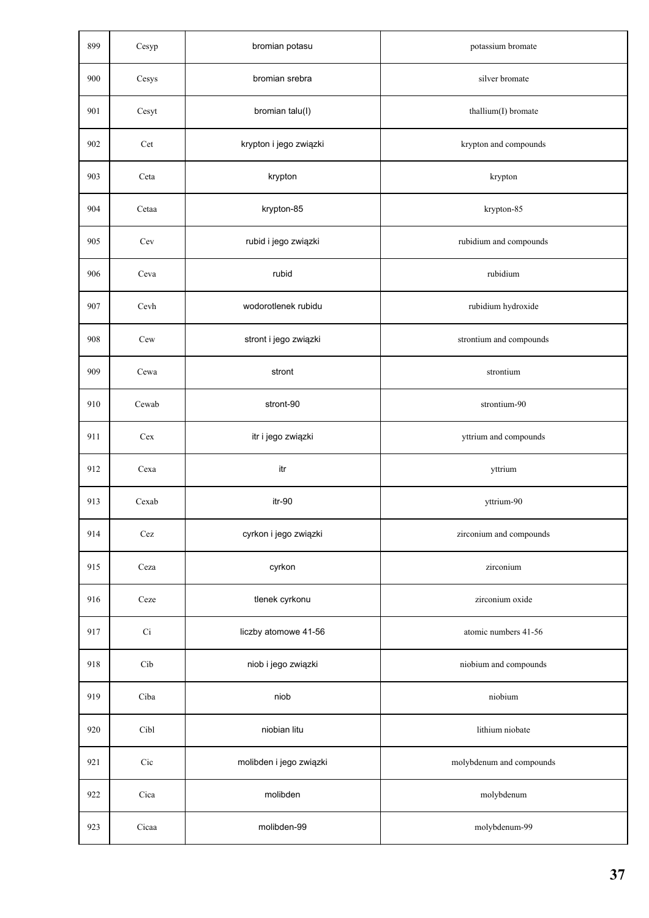| 899 | Cesyp        | bromian potasu          | potassium bromate        |
|-----|--------------|-------------------------|--------------------------|
| 900 | Cesys        | bromian srebra          | silver bromate           |
| 901 | Cesyt        | bromian talu(I)         | thallium(I) bromate      |
| 902 | Cet          | krypton i jego związki  | krypton and compounds    |
| 903 | Ceta         | krypton                 | krypton                  |
| 904 | Cetaa        | krypton-85              | krypton-85               |
| 905 | Cev          | rubid i jego związki    | rubidium and compounds   |
| 906 | Ceva         | rubid                   | rubidium                 |
| 907 | Cevh         | wodorotlenek rubidu     | rubidium hydroxide       |
| 908 | Cew          | stront i jego związki   | strontium and compounds  |
| 909 | Cewa         | stront                  | strontium                |
| 910 | Cewab        | stront-90               | strontium-90             |
| 911 | Cex          | itr i jego związki      | yttrium and compounds    |
| 912 | Cexa         | itr                     | yttrium                  |
| 913 | Cexab        | itr-90                  | yttrium-90               |
| 914 | $\mbox{Cez}$ | cyrkon i jego związki   | zirconium and compounds  |
| 915 | Ceza         | cyrkon                  | zirconium                |
| 916 | Ceze         | tlenek cyrkonu          | zirconium oxide          |
| 917 | $\rm Ci$     | liczby atomowe 41-56    | atomic numbers 41-56     |
| 918 | Cib          | niob i jego związki     | niobium and compounds    |
| 919 | Ciba         | niob                    | niobium                  |
| 920 | Cibl         | niobian litu            | lithium niobate          |
| 921 | Cic          | molibden i jego związki | molybdenum and compounds |
| 922 | Cica         | molibden                | molybdenum               |
| 923 | Cicaa        | molibden-99             | molybdenum-99            |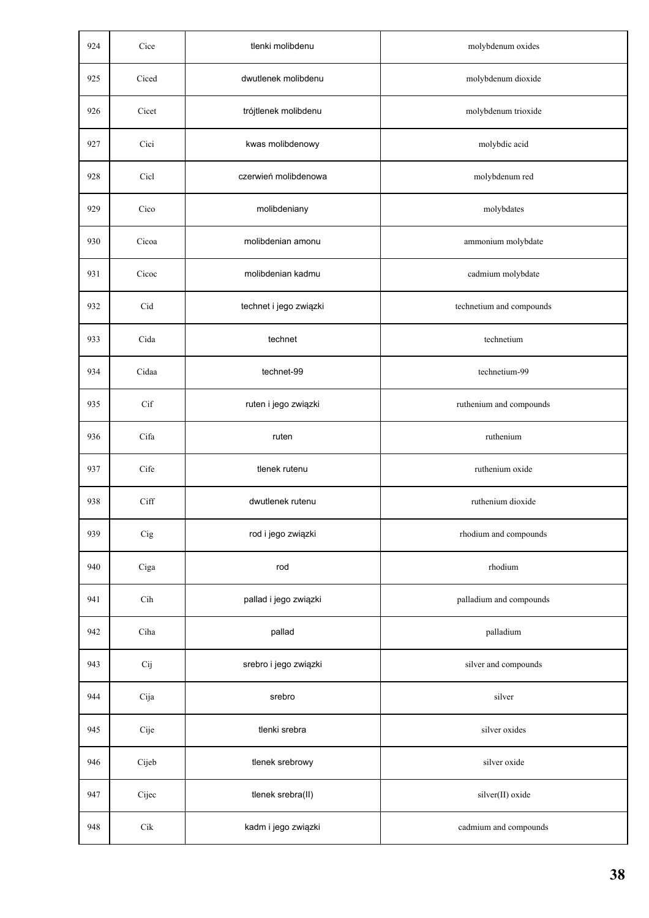| 924 | Cice           | tlenki molibdenu       | molybdenum oxides        |
|-----|----------------|------------------------|--------------------------|
| 925 | Ciced          | dwutlenek molibdenu    | molybdenum dioxide       |
| 926 | Cicet          | trójtlenek molibdenu   | molybdenum trioxide      |
| 927 | Cici           | kwas molibdenowy       | molybdic acid            |
| 928 | Cicl           | czerwień molibdenowa   | molybdenum red           |
| 929 | Cico           | molibdeniany           | molybdates               |
| 930 | Cicoa          | molibdenian amonu      | ammonium molybdate       |
| 931 | Cicoc          | molibdenian kadmu      | cadmium molybdate        |
| 932 | Cid            | technet i jego związki | technetium and compounds |
| 933 | Cida           | technet                | technetium               |
| 934 | Cidaa          | technet-99             | technetium-99            |
| 935 | Cif            | ruten i jego związki   | ruthenium and compounds  |
| 936 | Cifa           | ruten                  | ruthenium                |
| 937 | Cife           | tlenek rutenu          | ruthenium oxide          |
| 938 | Ciff           | dwutlenek rutenu       | ruthenium dioxide        |
| 939 | $_{\rm Cig}$   | rod i jego związki     | rhodium and compounds    |
| 940 | Ciga           | rod                    | rhodium                  |
| 941 | $\mathrm{Cih}$ | pallad i jego związki  | palladium and compounds  |
| 942 | Ciha           | pallad                 | palladium                |
| 943 | Cij            | srebro i jego związki  | silver and compounds     |
| 944 | Cija           | srebro                 | silver                   |
| 945 | Cije           | tlenki srebra          | silver oxides            |
| 946 | Cijeb          | tlenek srebrowy        | silver oxide             |
| 947 | Cijec          | tlenek srebra(II)      | silver(II) oxide         |
| 948 | $\mathrm{Cik}$ | kadm i jego związki    | cadmium and compounds    |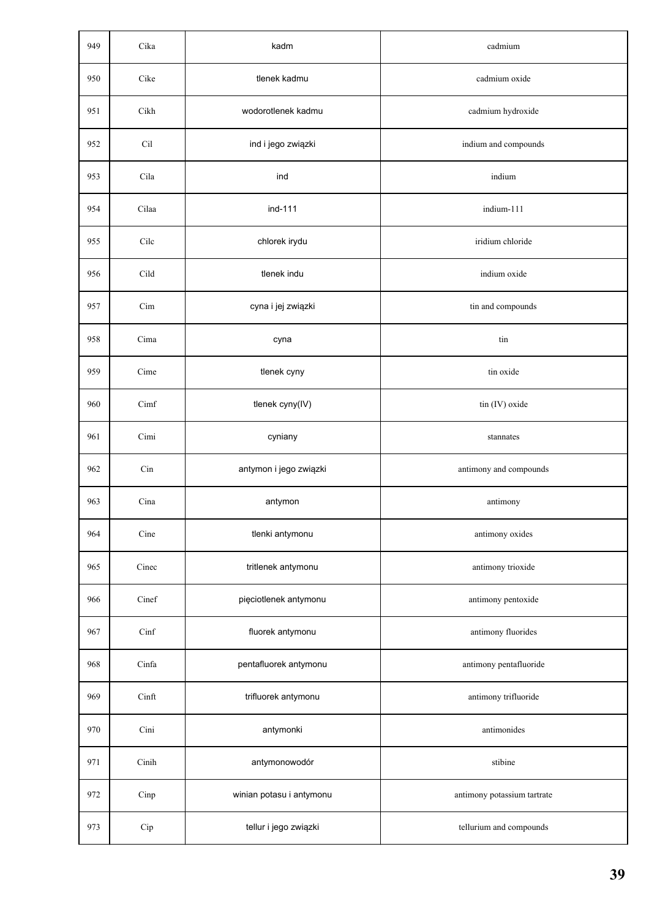| 949 | Cika  | kadm                     | cadmium                     |
|-----|-------|--------------------------|-----------------------------|
| 950 | Cike  | tlenek kadmu             | cadmium oxide               |
| 951 | Cikh  | wodorotlenek kadmu       | cadmium hydroxide           |
| 952 | Cil   | ind i jego związki       | indium and compounds        |
| 953 | Cila  | ind                      | indium                      |
| 954 | Cilaa | ind-111                  | indium-111                  |
| 955 | Cilc  | chlorek irydu            | iridium chloride            |
| 956 | Cild  | tlenek indu              | indium oxide                |
| 957 | Cim   | cyna i jej związki       | tin and compounds           |
| 958 | Cima  | cyna                     | tin                         |
| 959 | Cime  | tlenek cyny              | tin oxide                   |
| 960 | Cimf  | tlenek cyny(IV)          | tin (IV) oxide              |
| 961 | Cimi  | cyniany                  | stannates                   |
| 962 | Cin   | antymon i jego związki   | antimony and compounds      |
| 963 | Cina  | antymon                  | antimony                    |
| 964 | Cine  | tlenki antymonu          | antimony oxides             |
| 965 | Cinec | tritlenek antymonu       | antimony trioxide           |
| 966 | Cinef | pięciotlenek antymonu    | antimony pentoxide          |
| 967 | Cinf  | fluorek antymonu         | antimony fluorides          |
| 968 | Cinfa | pentafluorek antymonu    | antimony pentafluoride      |
| 969 | Cinft | trifluorek antymonu      | antimony trifluoride        |
| 970 | Cini  | antymonki                | antimonides                 |
| 971 | Cinih | antymonowodór            | stibine                     |
| 972 | Cinp  | winian potasu i antymonu | antimony potassium tartrate |
| 973 | Cip   | tellur i jego związki    | tellurium and compounds     |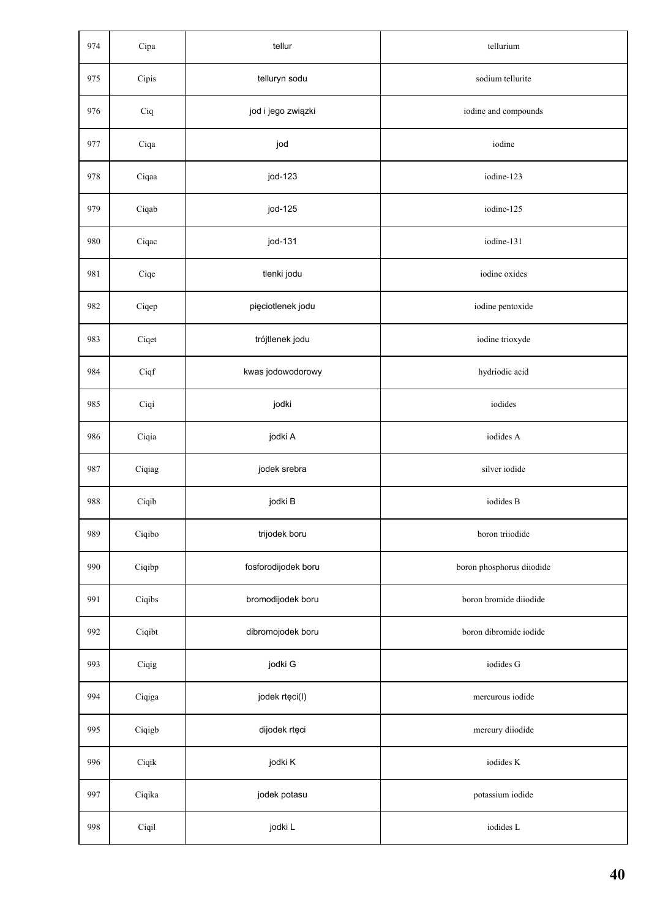| 974 | Cipa   | tellur              | tellurium                 |
|-----|--------|---------------------|---------------------------|
| 975 | Cipis  | telluryn sodu       | sodium tellurite          |
| 976 | Ciq    | jod i jego związki  | iodine and compounds      |
| 977 | Ciqa   | jod                 | iodine                    |
| 978 | Ciqaa  | jod-123             | iodine-123                |
| 979 | Ciqab  | jod-125             | iodine-125                |
| 980 | Ciqac  | jod-131             | iodine-131                |
| 981 | Ciqe   | tlenki jodu         | iodine oxides             |
| 982 | Ciqep  | pięciotlenek jodu   | iodine pentoxide          |
| 983 | Ciqet  | trójtlenek jodu     | iodine trioxyde           |
| 984 | Ciqf   | kwas jodowodorowy   | hydriodic acid            |
| 985 | Ciqi   | jodki               | iodides                   |
| 986 | Ciqia  | jodki A             | iodides A                 |
| 987 | Ciqiag | jodek srebra        | silver iodide             |
| 988 | Ciqib  | jodki B             | iodides B                 |
| 989 | Ciqibo | trijodek boru       | boron triiodide           |
| 990 | Ciqibp | fosforodijodek boru | boron phosphorus diiodide |
| 991 | Ciqibs | bromodijodek boru   | boron bromide diiodide    |
| 992 | Ciqibt | dibromojodek boru   | boron dibromide iodide    |
| 993 | Ciqig  | jodki G             | iodides G                 |
| 994 | Ciqiga | jodek rtęci(I)      | mercurous iodide          |
| 995 | Ciqigb | dijodek rtęci       | mercury diiodide          |
| 996 | Ciqik  | jodki K             | iodides K                 |
| 997 | Ciqika | jodek potasu        | potassium iodide          |
| 998 | Ciqil  | jodki L             | iodides L                 |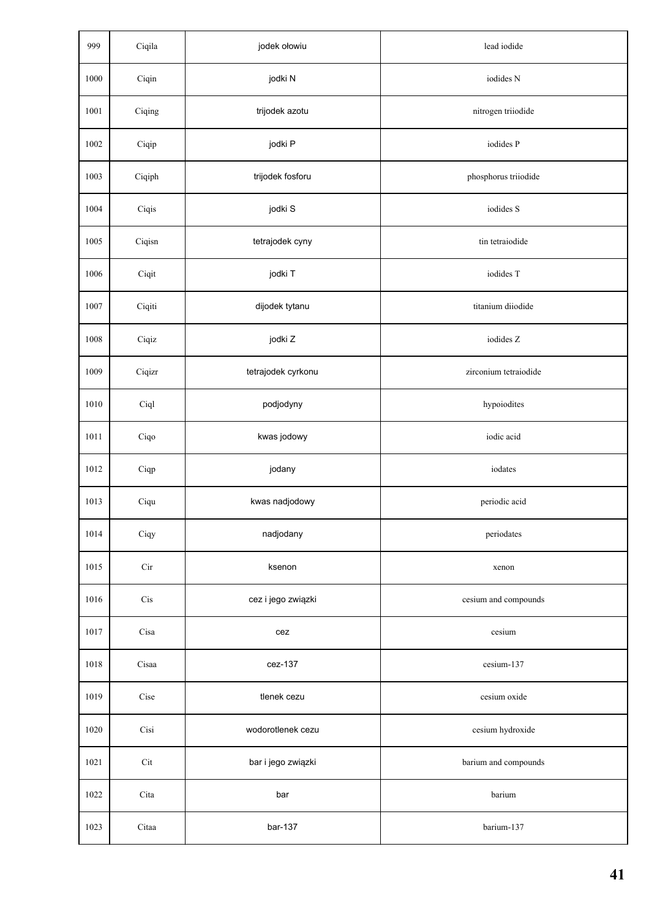| 999  | Ciqila | jodek ołowiu       | lead iodide           |
|------|--------|--------------------|-----------------------|
| 1000 | Ciqin  | jodki N            | iodides N             |
| 1001 | Ciqing | trijodek azotu     | nitrogen triiodide    |
| 1002 | Ciqip  | jodki P            | iodides P             |
| 1003 | Ciqiph | trijodek fosforu   | phosphorus triiodide  |
| 1004 | Ciqis  | jodki S            | iodides S             |
| 1005 | Ciqisn | tetrajodek cyny    | tin tetraiodide       |
| 1006 | Ciqit  | jodki T            | iodides T             |
| 1007 | Ciqiti | dijodek tytanu     | titanium diiodide     |
| 1008 | Ciqiz  | jodki Z            | iodides Z             |
| 1009 | Ciqizr | tetrajodek cyrkonu | zirconium tetraiodide |
| 1010 | Ciql   | podjodyny          | hypoiodites           |
| 1011 | Ciqo   | kwas jodowy        | iodic acid            |
| 1012 | Ciqp   | jodany             | iodates               |
| 1013 | Ciqu   | kwas nadjodowy     | periodic acid         |
| 1014 | Ciqy   | nadjodany          | periodates            |
| 1015 | Cir    | ksenon             | xenon                 |
| 1016 | Cis    | cez i jego związki | cesium and compounds  |
| 1017 | Cisa   | cez                | cesium                |
| 1018 | Cisaa  | cez-137            | cesium-137            |
| 1019 | Cise   | tlenek cezu        | cesium oxide          |
| 1020 | Cisi   | wodorotlenek cezu  | cesium hydroxide      |
| 1021 | Cit    | bar i jego związki | barium and compounds  |
| 1022 | Cita   | bar                | barium                |
| 1023 | Citaa  | bar-137            | barium-137            |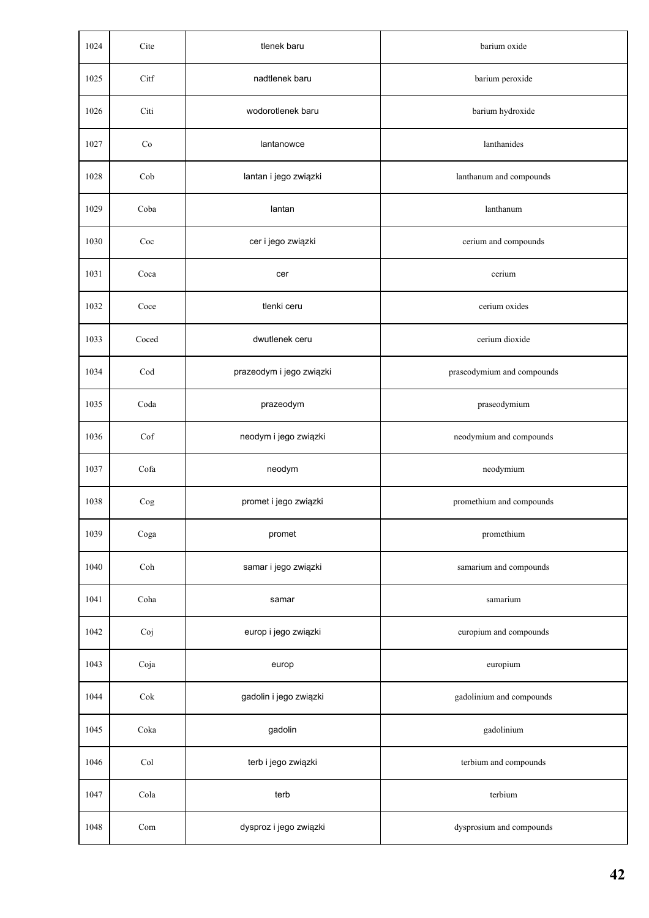| 1024 | Cite                 | tlenek baru              | barium oxide               |
|------|----------------------|--------------------------|----------------------------|
| 1025 | Citf                 | nadtlenek baru           | barium peroxide            |
| 1026 | Citi                 | wodorotlenek baru        | barium hydroxide           |
| 1027 | Co                   | lantanowce               | lanthanides                |
| 1028 | Cob                  | lantan i jego związki    | lanthanum and compounds    |
| 1029 | Coba                 | lantan                   | lanthanum                  |
| 1030 | Coc                  | cer i jego związki       | cerium and compounds       |
| 1031 | Coca                 | cer                      | cerium                     |
| 1032 | Coce                 | tlenki ceru              | cerium oxides              |
| 1033 | Coced                | dwutlenek ceru           | cerium dioxide             |
| 1034 | Cod                  | prazeodym i jego związki | praseodymium and compounds |
| 1035 | Coda                 | prazeodym                | praseodymium               |
| 1036 | Cof                  | neodym i jego związki    | neodymium and compounds    |
| 1037 | Cofa                 | neodym                   | neodymium                  |
| 1038 | $\rm{Cog}$           | promet i jego związki    | promethium and compounds   |
| 1039 | Coga                 | promet                   | promethium                 |
| 1040 | Coh                  | samar i jego związki     | samarium and compounds     |
| 1041 | Coha                 | samar                    | samarium                   |
| 1042 | Coj                  | europ i jego związki     | europium and compounds     |
| 1043 | Coja                 | europ                    | europium                   |
| 1044 | Cok                  | gadolin i jego związki   | gadolinium and compounds   |
| 1045 | Coka                 | gadolin                  | gadolinium                 |
| 1046 | Col                  | terb i jego związki      | terbium and compounds      |
| 1047 | Cola                 | terb                     | terbium                    |
| 1048 | $\operatorname{Com}$ | dysproz i jego związki   | dysprosium and compounds   |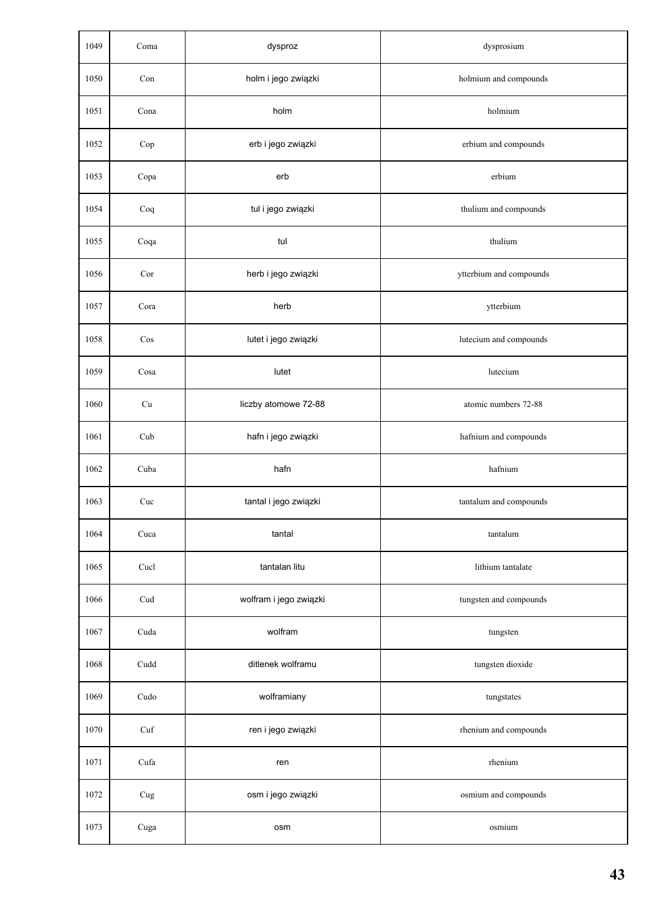| 1049 | Coma      | dysproz                | dysprosium              |
|------|-----------|------------------------|-------------------------|
| 1050 | Con       | holm i jego związki    | holmium and compounds   |
| 1051 | Cona      | holm                   | holmium                 |
| 1052 | Cop       | erb i jego związki     | erbium and compounds    |
| 1053 | Copa      | erb                    | erbium                  |
| 1054 | Coq       | tul i jego związki     | thulium and compounds   |
| 1055 | Coqa      | tul                    | thulium                 |
| 1056 | Cor       | herb i jego związki    | ytterbium and compounds |
| 1057 | Cora      | herb                   | ytterbium               |
| 1058 | Cos       | lutet i jego związki   | lutecium and compounds  |
| 1059 | Cosa      | lutet                  | lutecium                |
| 1060 | Cu        | liczby atomowe 72-88   | atomic numbers 72-88    |
| 1061 | Cub       | hafn i jego związki    | hafnium and compounds   |
| 1062 | Cuba      | hafn                   | hafnium                 |
| 1063 | Cuc       | tantal i jego związki  | tantalum and compounds  |
| 1064 | Cuca      | tantal                 | tantalum                |
| 1065 | Cucl      | tantalan litu          | lithium tantalate       |
| 1066 | Cud       | wolfram i jego związki | tungsten and compounds  |
| 1067 | Cuda      | wolfram                | tungsten                |
| 1068 | Cudd      | ditlenek wolframu      | tungsten dioxide        |
| 1069 | Cudo      | wolframiany            | tungstates              |
| 1070 | Cuf       | ren i jego związki     | rhenium and compounds   |
| 1071 | Cufa      | ren                    | rhenium                 |
| 1072 | $\rm Cug$ | osm i jego związki     | osmium and compounds    |
| 1073 | Cuga      | osm                    | osmium                  |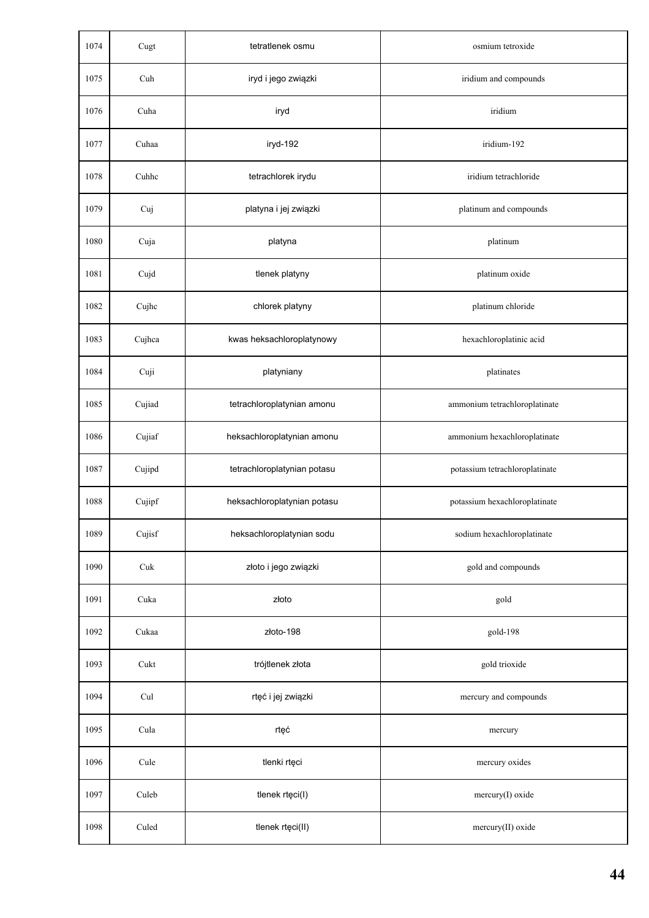| 1074 | Cugt   | tetratlenek osmu            | osmium tetroxide               |
|------|--------|-----------------------------|--------------------------------|
| 1075 | Cuh    | iryd i jego związki         | iridium and compounds          |
| 1076 | Cuha   | iryd                        | iridium                        |
| 1077 | Cuhaa  | iryd-192                    | iridium-192                    |
| 1078 | Cuhhc  | tetrachlorek irydu          | iridium tetrachloride          |
| 1079 | Cuj    | platyna i jej związki       | platinum and compounds         |
| 1080 | Cuja   | platyna                     | platinum                       |
| 1081 | Cujd   | tlenek platyny              | platinum oxide                 |
| 1082 | Cujhc  | chlorek platyny             | platinum chloride              |
| 1083 | Cujhca | kwas heksachloroplatynowy   | hexachloroplatinic acid        |
| 1084 | Cuji   | platyniany                  | platinates                     |
| 1085 | Cujiad | tetrachloroplatynian amonu  | ammonium tetrachloroplatinate  |
| 1086 | Cujiaf | heksachloroplatynian amonu  | ammonium hexachloroplatinate   |
| 1087 | Cujipd | tetrachloroplatynian potasu | potassium tetrachloroplatinate |
| 1088 | Cujipf | heksachloroplatynian potasu | potassium hexachloroplatinate  |
| 1089 | Cujisf | heksachloroplatynian sodu   | sodium hexachloroplatinate     |
| 1090 | Cuk    | złoto i jego związki        | gold and compounds             |
| 1091 | Cuka   | złoto                       | gold                           |
| 1092 | Cukaa  | złoto-198                   | gold-198                       |
| 1093 | Cukt   | trójtlenek złota            | gold trioxide                  |
| 1094 | Cul    | rtęć i jej związki          | mercury and compounds          |
| 1095 | Cula   | rtęć                        | mercury                        |
| 1096 | Cule   | tlenki rtęci                | mercury oxides                 |
| 1097 | Culeb  | tlenek rtęci(I)             | mercury(I) oxide               |
| 1098 | Culed  | tlenek rtęci(II)            | mercury(II) oxide              |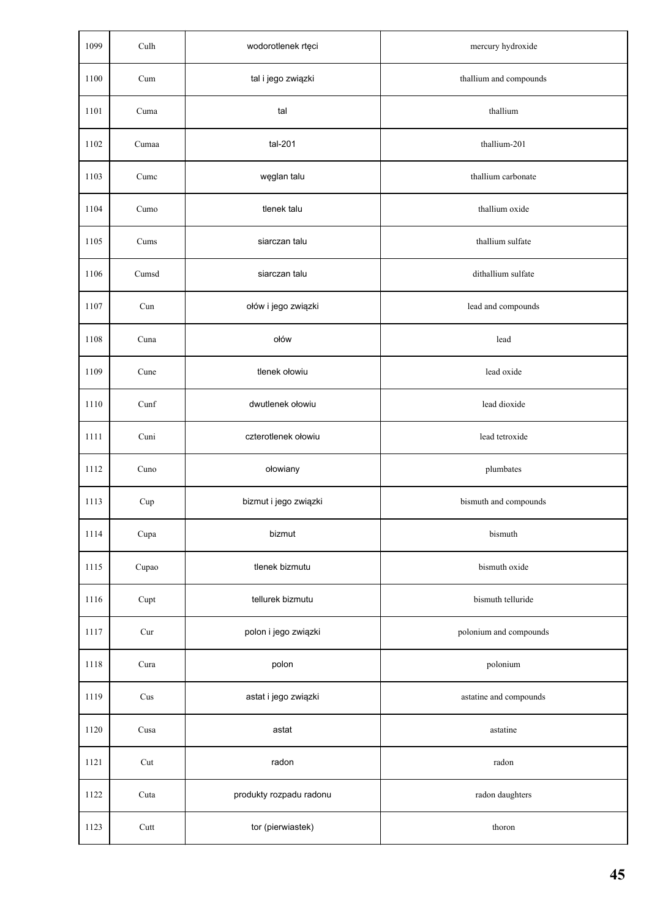| 1099 | Culh  | wodorotlenek rtęci      | mercury hydroxide      |
|------|-------|-------------------------|------------------------|
| 1100 | Cum   | tal i jego związki      | thallium and compounds |
| 1101 | Cuma  | tal                     | thallium               |
| 1102 | Cumaa | tal-201                 | thallium-201           |
| 1103 | Cumc  | węglan talu             | thallium carbonate     |
| 1104 | Cumo  | tlenek talu             | thallium oxide         |
| 1105 | Cums  | siarczan talu           | thallium sulfate       |
| 1106 | Cumsd | siarczan talu           | dithallium sulfate     |
| 1107 | Cun   | ołów i jego związki     | lead and compounds     |
| 1108 | Cuna  | ołów                    | lead                   |
| 1109 | Cune  | tlenek ołowiu           | lead oxide             |
| 1110 | Cunf  | dwutlenek ołowiu        | lead dioxide           |
| 1111 | Cuni  | czterotlenek ołowiu     | lead tetroxide         |
| 1112 | Cuno  | ołowiany                | plumbates              |
| 1113 | Cup   | bizmut i jego związki   | bismuth and compounds  |
| 1114 | Cupa  | bizmut                  | bismuth                |
| 1115 | Cupao | tlenek bizmutu          | bismuth oxide          |
| 1116 | Cupt  | tellurek bizmutu        | bismuth telluride      |
| 1117 | Cur   | polon i jego związki    | polonium and compounds |
| 1118 | Cura  | polon                   | polonium               |
| 1119 | Cus   | astat i jego związki    | astatine and compounds |
| 1120 | Cusa  | astat                   | astatine               |
| 1121 | Cut   | radon                   | radon                  |
| 1122 | Cuta  | produkty rozpadu radonu | radon daughters        |
| 1123 | Cutt  | tor (pierwiastek)       | thoron                 |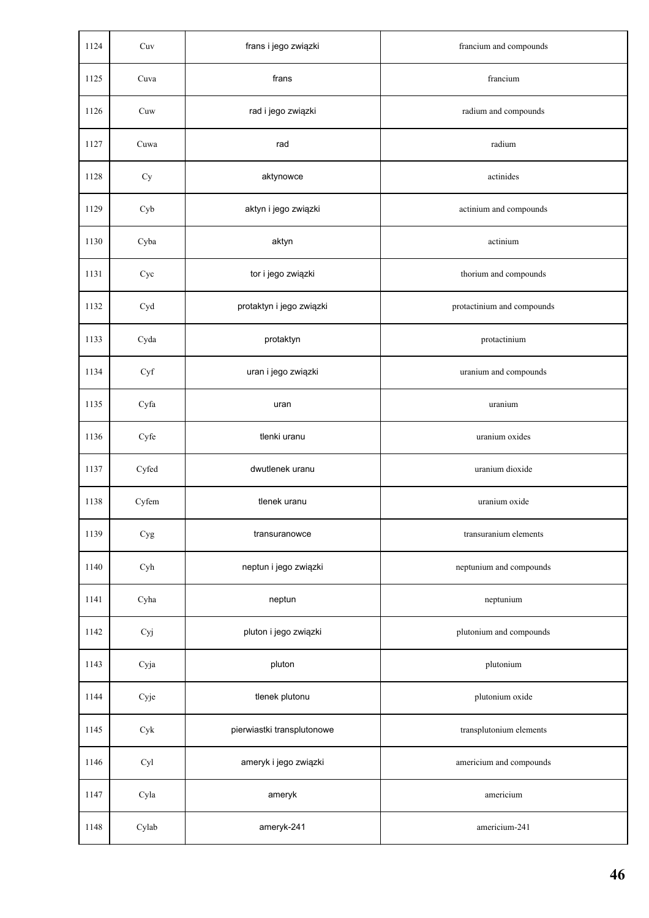| 1124 | Cuv       | frans i jego związki       | francium and compounds     |
|------|-----------|----------------------------|----------------------------|
| 1125 | Cuva      | frans                      | francium                   |
| 1126 | Cuw       | rad i jego związki         | radium and compounds       |
| 1127 | Cuwa      | rad                        | radium                     |
| 1128 | Cy        | aktynowce                  | actinides                  |
| 1129 | Cyb       | aktyn i jego związki       | actinium and compounds     |
| 1130 | Cyba      | aktyn                      | actinium                   |
| 1131 | Cyc       | tor i jego związki         | thorium and compounds      |
| 1132 | Cyd       | protaktyn i jego związki   | protactinium and compounds |
| 1133 | Cyda      | protaktyn                  | protactinium               |
| 1134 | Cyf       | uran i jego związki        | uranium and compounds      |
| 1135 | Cyfa      | uran                       | uranium                    |
| 1136 | Cyfe      | tlenki uranu               | uranium oxides             |
| 1137 | Cyfed     | dwutlenek uranu            | uranium dioxide            |
| 1138 | Cyfem     | tlenek uranu               | uranium oxide              |
| 1139 | $\rm Cyg$ | transuranowce              | transuranium elements      |
| 1140 | Cyh       | neptun i jego związki      | neptunium and compounds    |
| 1141 | Cyha      | neptun                     | neptunium                  |
| 1142 | Cyj       | pluton i jego związki      | plutonium and compounds    |
| 1143 | Cyja      | pluton                     | plutonium                  |
| 1144 | Cyje      | tlenek plutonu             | plutonium oxide            |
| 1145 | Cyk       | pierwiastki transplutonowe | transplutonium elements    |
| 1146 | Cyl       | ameryk i jego związki      | americium and compounds    |
| 1147 | Cyla      | ameryk                     | americium                  |
| 1148 | Cylab     | ameryk-241                 | americium-241              |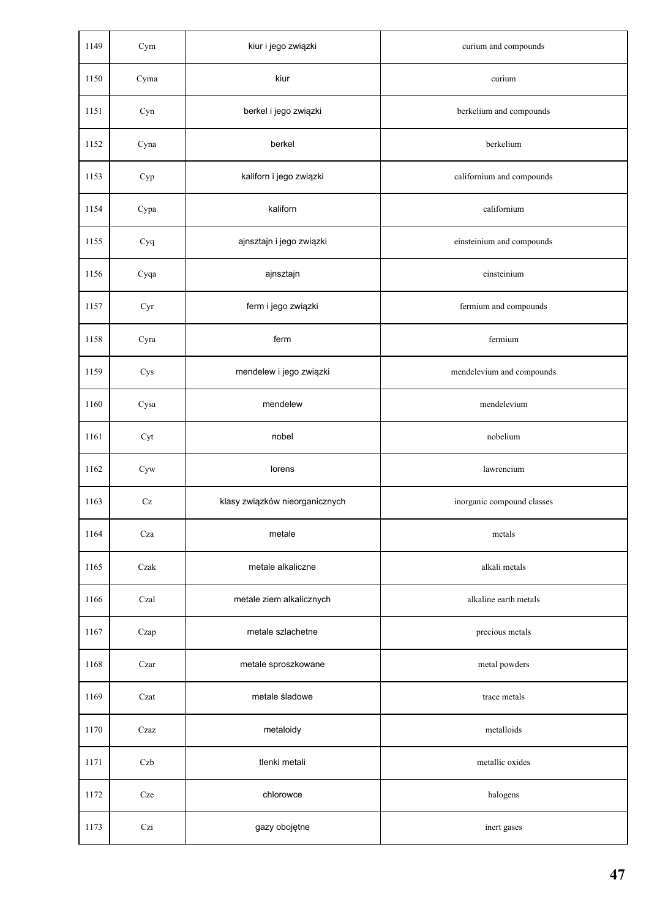| 1149 | Cym                 | kiur i jego związki            | curium and compounds       |
|------|---------------------|--------------------------------|----------------------------|
| 1150 | Cyma                | kiur                           | curium                     |
| 1151 | Cyn                 | berkel i jego związki          | berkelium and compounds    |
| 1152 | Cyna                | berkel                         | berkelium                  |
| 1153 | Cyp                 | kaliforn i jego związki        | californium and compounds  |
| 1154 | Cypa                | kaliforn                       | californium                |
| 1155 | Cyq                 | ajnsztajn i jego związki       | einsteinium and compounds  |
| 1156 | Cyqa                | ajnsztajn                      | einsteinium                |
| 1157 | Cyr                 | ferm i jego związki            | fermium and compounds      |
| 1158 | Cyra                | ferm                           | fermium                    |
| 1159 | Cys                 | mendelew i jego związki        | mendelevium and compounds  |
| 1160 | Cysa                | mendelew                       | mendelevium                |
| 1161 | Cyt                 | nobel                          | nobelium                   |
| 1162 | Cyw                 | lorens                         | lawrencium                 |
| 1163 | $\operatorname{Cz}$ | klasy związków nieorganicznych | inorganic compound classes |
| 1164 | Cza                 | metale                         | metals                     |
| 1165 | Czak                | metale alkaliczne              | alkali metals              |
| 1166 | Czal                | metale ziem alkalicznych       | alkaline earth metals      |
| 1167 | Czap                | metale szlachetne              | precious metals            |
| 1168 | Czar                | metale sproszkowane            | metal powders              |
| 1169 | Czat                | metale śladowe                 | trace metals               |
| 1170 | Czaz                | metaloidy                      | metalloids                 |
| 1171 | Czb                 | tlenki metali                  | metallic oxides            |
| 1172 | Cze                 | chlorowce                      | halogens                   |
| 1173 | Czi                 | gazy obojętne                  | inert gases                |